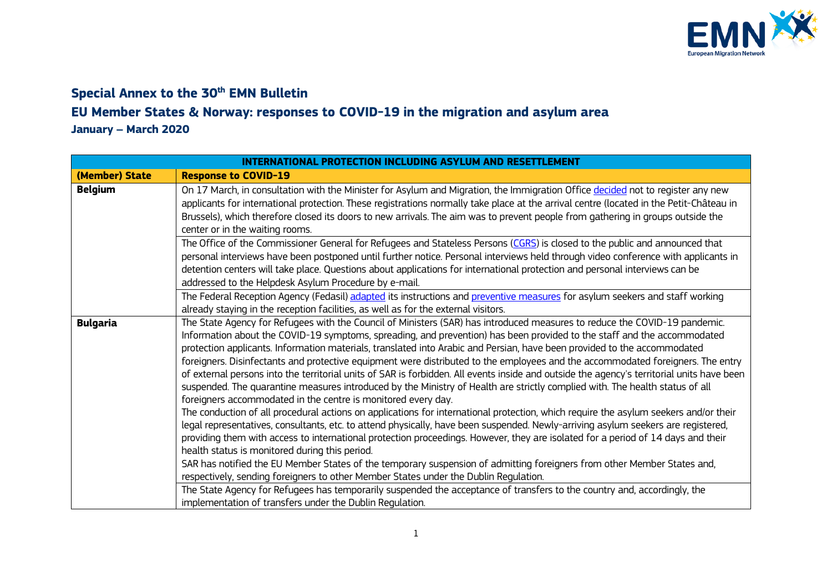

## **Special Annex to the 30<sup>th</sup> <b>EMN** Bulletin

## **EU Member States & Norway: responses to COVID-19 in the migration and asylum area**

**January – March 2020**

| <b>INTERNATIONAL PROTECTION INCLUDING ASYLUM AND RESETTLEMENT</b> |                                                                                                                                                                                                                                                                                                                                                                                                                                                                                                                                                                                                                                                                                                                                                                                                                                                                                                                                                                                                                                                                                                                                                                                                                                                                                                                                                                                                                                                                                                                                                           |
|-------------------------------------------------------------------|-----------------------------------------------------------------------------------------------------------------------------------------------------------------------------------------------------------------------------------------------------------------------------------------------------------------------------------------------------------------------------------------------------------------------------------------------------------------------------------------------------------------------------------------------------------------------------------------------------------------------------------------------------------------------------------------------------------------------------------------------------------------------------------------------------------------------------------------------------------------------------------------------------------------------------------------------------------------------------------------------------------------------------------------------------------------------------------------------------------------------------------------------------------------------------------------------------------------------------------------------------------------------------------------------------------------------------------------------------------------------------------------------------------------------------------------------------------------------------------------------------------------------------------------------------------|
| (Member) State                                                    | <b>Response to COVID-19</b>                                                                                                                                                                                                                                                                                                                                                                                                                                                                                                                                                                                                                                                                                                                                                                                                                                                                                                                                                                                                                                                                                                                                                                                                                                                                                                                                                                                                                                                                                                                               |
| <b>Belgium</b>                                                    | On 17 March, in consultation with the Minister for Asylum and Migration, the Immigration Office decided not to register any new<br>applicants for international protection. These registrations normally take place at the arrival centre (located in the Petit-Château in<br>Brussels), which therefore closed its doors to new arrivals. The aim was to prevent people from gathering in groups outside the<br>center or in the waiting rooms.                                                                                                                                                                                                                                                                                                                                                                                                                                                                                                                                                                                                                                                                                                                                                                                                                                                                                                                                                                                                                                                                                                          |
|                                                                   | The Office of the Commissioner General for Refugees and Stateless Persons (CGRS) is closed to the public and announced that<br>personal interviews have been postponed until further notice. Personal interviews held through video conference with applicants in<br>detention centers will take place. Questions about applications for international protection and personal interviews can be<br>addressed to the Helpdesk Asylum Procedure by e-mail.                                                                                                                                                                                                                                                                                                                                                                                                                                                                                                                                                                                                                                                                                                                                                                                                                                                                                                                                                                                                                                                                                                 |
|                                                                   | The Federal Reception Agency (Fedasil) adapted its instructions and preventive measures for asylum seekers and staff working<br>already staying in the reception facilities, as well as for the external visitors.                                                                                                                                                                                                                                                                                                                                                                                                                                                                                                                                                                                                                                                                                                                                                                                                                                                                                                                                                                                                                                                                                                                                                                                                                                                                                                                                        |
| <b>Bulgaria</b>                                                   | The State Agency for Refugees with the Council of Ministers (SAR) has introduced measures to reduce the COVID-19 pandemic.<br>Information about the COVID-19 symptoms, spreading, and prevention) has been provided to the staff and the accommodated<br>protection applicants. Information materials, translated into Arabic and Persian, have been provided to the accommodated<br>foreigners. Disinfectants and protective equipment were distributed to the employees and the accommodated foreigners. The entry<br>of external persons into the territorial units of SAR is forbidden. All events inside and outside the agency's territorial units have been<br>suspended. The quarantine measures introduced by the Ministry of Health are strictly complied with. The health status of all<br>foreigners accommodated in the centre is monitored every day.<br>The conduction of all procedural actions on applications for international protection, which require the asylum seekers and/or their<br>legal representatives, consultants, etc. to attend physically, have been suspended. Newly-arriving asylum seekers are registered,<br>providing them with access to international protection proceedings. However, they are isolated for a period of 14 days and their<br>health status is monitored during this period.<br>SAR has notified the EU Member States of the temporary suspension of admitting foreigners from other Member States and,<br>respectively, sending foreigners to other Member States under the Dublin Regulation. |
|                                                                   | The State Agency for Refugees has temporarily suspended the acceptance of transfers to the country and, accordingly, the<br>implementation of transfers under the Dublin Regulation.                                                                                                                                                                                                                                                                                                                                                                                                                                                                                                                                                                                                                                                                                                                                                                                                                                                                                                                                                                                                                                                                                                                                                                                                                                                                                                                                                                      |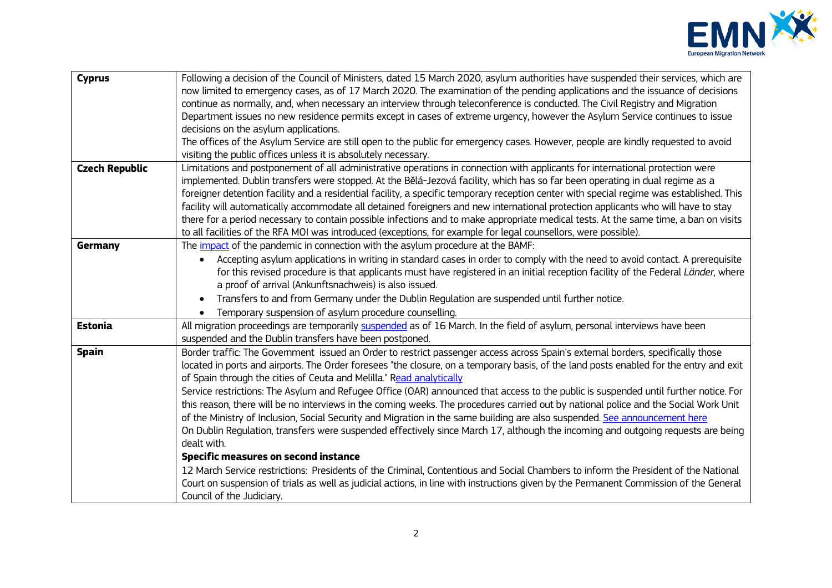

| <b>Cyprus</b>         | Following a decision of the Council of Ministers, dated 15 March 2020, asylum authorities have suspended their services, which are<br>now limited to emergency cases, as of 17 March 2020. The examination of the pending applications and the issuance of decisions<br>continue as normally, and, when necessary an interview through teleconference is conducted. The Civil Registry and Migration<br>Department issues no new residence permits except in cases of extreme urgency, however the Asylum Service continues to issue<br>decisions on the asylum applications.<br>The offices of the Asylum Service are still open to the public for emergency cases. However, people are kindly requested to avoid<br>visiting the public offices unless it is absolutely necessary.                                                                                                                                                                                                                                                                                                                                                                                                                                                                                   |
|-----------------------|------------------------------------------------------------------------------------------------------------------------------------------------------------------------------------------------------------------------------------------------------------------------------------------------------------------------------------------------------------------------------------------------------------------------------------------------------------------------------------------------------------------------------------------------------------------------------------------------------------------------------------------------------------------------------------------------------------------------------------------------------------------------------------------------------------------------------------------------------------------------------------------------------------------------------------------------------------------------------------------------------------------------------------------------------------------------------------------------------------------------------------------------------------------------------------------------------------------------------------------------------------------------|
| <b>Czech Republic</b> | Limitations and postponement of all administrative operations in connection with applicants for international protection were<br>implemented. Dublin transfers were stopped. At the Bělá-Jezová facility, which has so far been operating in dual regime as a<br>foreigner detention facility and a residential facility, a specific temporary reception center with special regime was established. This<br>facility will automatically accommodate all detained foreigners and new international protection applicants who will have to stay<br>there for a period necessary to contain possible infections and to make appropriate medical tests. At the same time, a ban on visits<br>to all facilities of the RFA MOI was introduced (exceptions, for example for legal counsellors, were possible).                                                                                                                                                                                                                                                                                                                                                                                                                                                              |
| Germany               | The <i>impact</i> of the pandemic in connection with the asylum procedure at the BAMF:<br>Accepting asylum applications in writing in standard cases in order to comply with the need to avoid contact. A prerequisite<br>$\bullet$<br>for this revised procedure is that applicants must have registered in an initial reception facility of the Federal Länder, where<br>a proof of arrival (Ankunftsnachweis) is also issued.<br>Transfers to and from Germany under the Dublin Regulation are suspended until further notice.<br>$\bullet$<br>Temporary suspension of asylum procedure counselling.<br>$\bullet$                                                                                                                                                                                                                                                                                                                                                                                                                                                                                                                                                                                                                                                   |
| <b>Estonia</b>        | All migration proceedings are temporarily suspended as of 16 March. In the field of asylum, personal interviews have been<br>suspended and the Dublin transfers have been postponed.                                                                                                                                                                                                                                                                                                                                                                                                                                                                                                                                                                                                                                                                                                                                                                                                                                                                                                                                                                                                                                                                                   |
| <b>Spain</b>          | Border traffic: The Government issued an Order to restrict passenger access across Spain's external borders, specifically those<br>located in ports and airports. The Order foresees "the closure, on a temporary basis, of the land posts enabled for the entry and exit<br>of Spain through the cities of Ceuta and Melilla." Read analytically<br>Service restrictions: The Asylum and Refugee Office (OAR) announced that access to the public is suspended until further notice. For<br>this reason, there will be no interviews in the coming weeks. The procedures carried out by national police and the Social Work Unit<br>of the Ministry of Inclusion, Social Security and Migration in the same building are also suspended. See announcement here<br>On Dublin Regulation, transfers were suspended effectively since March 17, although the incoming and outgoing requests are being<br>dealt with.<br>Specific measures on second instance<br>12 March Service restrictions: Presidents of the Criminal, Contentious and Social Chambers to inform the President of the National<br>Court on suspension of trials as well as judicial actions, in line with instructions given by the Permanent Commission of the General<br>Council of the Judiciary. |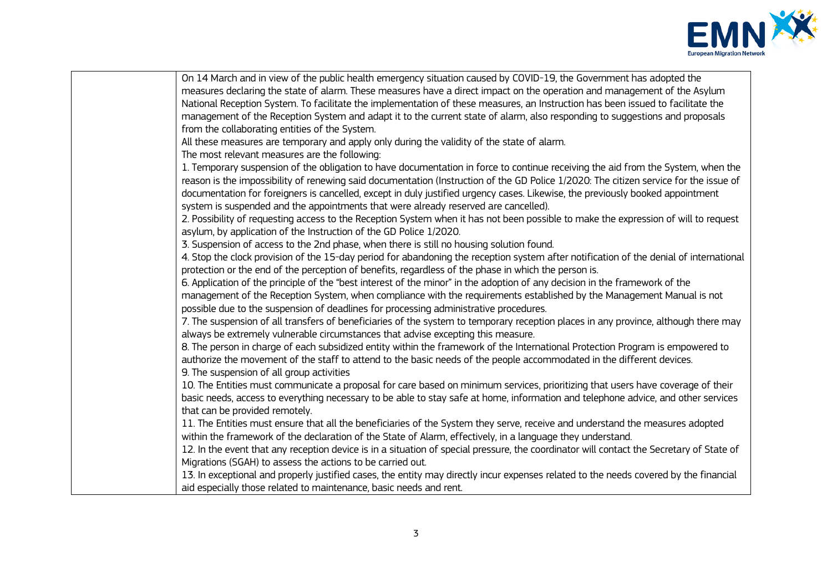

| On 14 March and in view of the public health emergency situation caused by COVID-19, the Government has adopted the                      |
|------------------------------------------------------------------------------------------------------------------------------------------|
| measures declaring the state of alarm. These measures have a direct impact on the operation and management of the Asylum                 |
| National Reception System. To facilitate the implementation of these measures, an Instruction has been issued to facilitate the          |
| management of the Reception System and adapt it to the current state of alarm, also responding to suggestions and proposals              |
| from the collaborating entities of the System.                                                                                           |
| All these measures are temporary and apply only during the validity of the state of alarm.                                               |
| The most relevant measures are the following:                                                                                            |
| 1. Temporary suspension of the obligation to have documentation in force to continue receiving the aid from the System, when the         |
| reason is the impossibility of renewing said documentation (Instruction of the GD Police 1/2020: The citizen service for the issue of    |
| documentation for foreigners is cancelled, except in duly justified urgency cases. Likewise, the previously booked appointment           |
| system is suspended and the appointments that were already reserved are cancelled).                                                      |
| 2. Possibility of requesting access to the Reception System when it has not been possible to make the expression of will to request      |
| asylum, by application of the Instruction of the GD Police 1/2020.                                                                       |
| 3. Suspension of access to the 2nd phase, when there is still no housing solution found.                                                 |
| 4. Stop the clock provision of the 15-day period for abandoning the reception system after notification of the denial of international   |
| protection or the end of the perception of benefits, regardless of the phase in which the person is.                                     |
| 6. Application of the principle of the "best interest of the minor" in the adoption of any decision in the framework of the              |
| management of the Reception System, when compliance with the requirements established by the Management Manual is not                    |
| possible due to the suspension of deadlines for processing administrative procedures.                                                    |
| 7. The suspension of all transfers of beneficiaries of the system to temporary reception places in any province, although there may      |
| always be extremely vulnerable circumstances that advise excepting this measure.                                                         |
| 8. The person in charge of each subsidized entity within the framework of the International Protection Program is empowered to           |
| authorize the movement of the staff to attend to the basic needs of the people accommodated in the different devices.                    |
| 9. The suspension of all group activities                                                                                                |
| 10. The Entities must communicate a proposal for care based on minimum services, prioritizing that users have coverage of their          |
| basic needs, access to everything necessary to be able to stay safe at home, information and telephone advice, and other services        |
| that can be provided remotely.                                                                                                           |
| 11. The Entities must ensure that all the beneficiaries of the System they serve, receive and understand the measures adopted            |
| within the framework of the declaration of the State of Alarm, effectively, in a language they understand.                               |
| 12. In the event that any reception device is in a situation of special pressure, the coordinator will contact the Secretary of State of |
| Migrations (SGAH) to assess the actions to be carried out.                                                                               |
| 13. In exceptional and properly justified cases, the entity may directly incur expenses related to the needs covered by the financial    |
| aid especially those related to maintenance, basic needs and rent.                                                                       |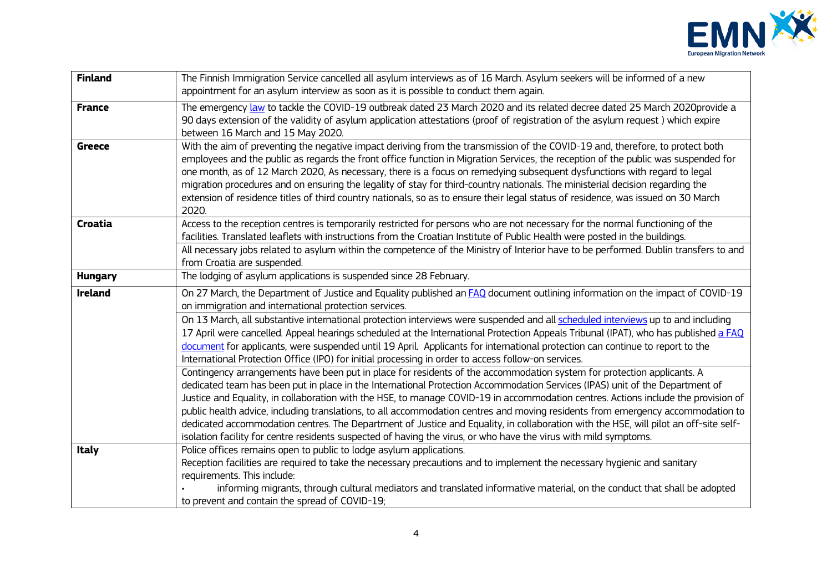

| <b>Finland</b> | The Finnish Immigration Service cancelled all asylum interviews as of 16 March. Asylum seekers will be informed of a new<br>appointment for an asylum interview as soon as it is possible to conduct them again.                                                                                                                                                                                                                                                                                                                                                                                                                                                                                                                                                                            |
|----------------|---------------------------------------------------------------------------------------------------------------------------------------------------------------------------------------------------------------------------------------------------------------------------------------------------------------------------------------------------------------------------------------------------------------------------------------------------------------------------------------------------------------------------------------------------------------------------------------------------------------------------------------------------------------------------------------------------------------------------------------------------------------------------------------------|
| <b>France</b>  | The emergency law to tackle the COVID-19 outbreak dated 23 March 2020 and its related decree dated 25 March 2020provide a<br>90 days extension of the validity of asylum application attestations (proof of registration of the asylum request) which expire<br>between 16 March and 15 May 2020.                                                                                                                                                                                                                                                                                                                                                                                                                                                                                           |
| <b>Greece</b>  | With the aim of preventing the negative impact deriving from the transmission of the COVID-19 and, therefore, to protect both<br>employees and the public as regards the front office function in Migration Services, the reception of the public was suspended for<br>one month, as of 12 March 2020, As necessary, there is a focus on remedying subsequent dysfunctions with regard to legal<br>migration procedures and on ensuring the legality of stay for third-country nationals. The ministerial decision regarding the<br>extension of residence titles of third country nationals, so as to ensure their legal status of residence, was issued on 30 March<br>2020.                                                                                                              |
| Croatia        | Access to the reception centres is temporarily restricted for persons who are not necessary for the normal functioning of the<br>facilities. Translated leaflets with instructions from the Croatian Institute of Public Health were posted in the buildings.<br>All necessary jobs related to asylum within the competence of the Ministry of Interior have to be performed. Dublin transfers to and<br>from Croatia are suspended.                                                                                                                                                                                                                                                                                                                                                        |
| <b>Hungary</b> | The lodging of asylum applications is suspended since 28 February.                                                                                                                                                                                                                                                                                                                                                                                                                                                                                                                                                                                                                                                                                                                          |
| <b>Ireland</b> | On 27 March, the Department of Justice and Equality published an <b>FAQ</b> document outlining information on the impact of COVID-19<br>on immigration and international protection services.<br>On 13 March, all substantive international protection interviews were suspended and all scheduled interviews up to and including<br>17 April were cancelled. Appeal hearings scheduled at the International Protection Appeals Tribunal (IPAT), who has published a FAQ<br>document for applicants, were suspended until 19 April. Applicants for international protection can continue to report to the<br>International Protection Office (IPO) for initial processing in order to access follow-on services.                                                                            |
|                | Contingency arrangements have been put in place for residents of the accommodation system for protection applicants. A<br>dedicated team has been put in place in the International Protection Accommodation Services (IPAS) unit of the Department of<br>Justice and Equality, in collaboration with the HSE, to manage COVID-19 in accommodation centres. Actions include the provision of<br>public health advice, including translations, to all accommodation centres and moving residents from emergency accommodation to<br>dedicated accommodation centres. The Department of Justice and Equality, in collaboration with the HSE, will pilot an off-site self-<br>isolation facility for centre residents suspected of having the virus, or who have the virus with mild symptoms. |
| Italy          | Police offices remains open to public to lodge asylum applications.<br>Reception facilities are required to take the necessary precautions and to implement the necessary hygienic and sanitary<br>requirements. This include:<br>informing migrants, through cultural mediators and translated informative material, on the conduct that shall be adopted<br>to prevent and contain the spread of COVID-19;                                                                                                                                                                                                                                                                                                                                                                                |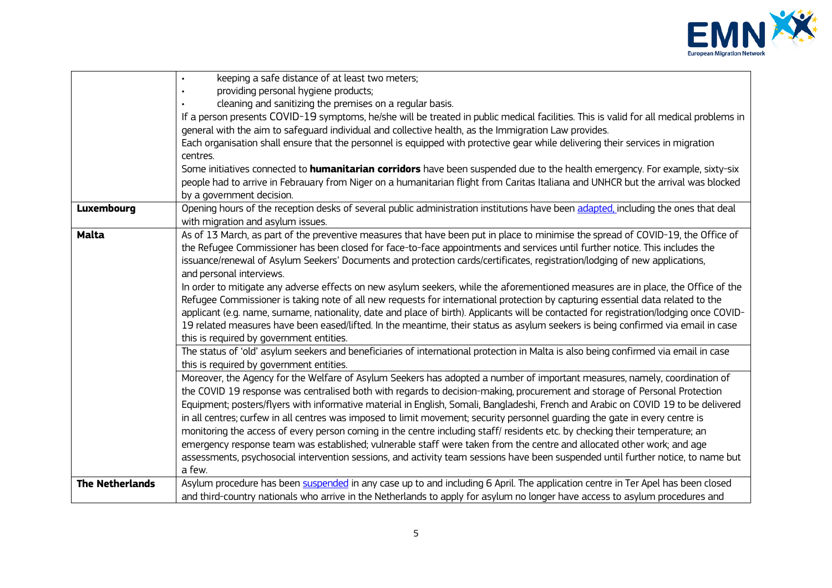

|                        | keeping a safe distance of at least two meters;                                                                                         |
|------------------------|-----------------------------------------------------------------------------------------------------------------------------------------|
|                        | providing personal hygiene products;                                                                                                    |
|                        | cleaning and sanitizing the premises on a regular basis.                                                                                |
|                        | If a person presents COVID-19 symptoms, he/she will be treated in public medical facilities. This is valid for all medical problems in  |
|                        | general with the aim to safeguard individual and collective health, as the Immigration Law provides.                                    |
|                        | Each organisation shall ensure that the personnel is equipped with protective gear while delivering their services in migration         |
|                        | centres.                                                                                                                                |
|                        | Some initiatives connected to humanitarian corridors have been suspended due to the health emergency. For example, sixty-six            |
|                        | people had to arrive in Febrauary from Niger on a humanitarian flight from Caritas Italiana and UNHCR but the arrival was blocked       |
|                        | by a government decision.                                                                                                               |
| Luxembourg             | Opening hours of the reception desks of several public administration institutions have been adapted, including the ones that deal      |
|                        | with migration and asylum issues.                                                                                                       |
| <b>Malta</b>           | As of 13 March, as part of the preventive measures that have been put in place to minimise the spread of COVID-19, the Office of        |
|                        | the Refugee Commissioner has been closed for face-to-face appointments and services until further notice. This includes the             |
|                        | issuance/renewal of Asylum Seekers' Documents and protection cards/certificates, registration/lodging of new applications,              |
|                        | and personal interviews.                                                                                                                |
|                        | In order to mitigate any adverse effects on new asylum seekers, while the aforementioned measures are in place, the Office of the       |
|                        | Refugee Commissioner is taking note of all new requests for international protection by capturing essential data related to the         |
|                        | applicant (e.g. name, surname, nationality, date and place of birth). Applicants will be contacted for registration/lodging once COVID- |
|                        | 19 related measures have been eased/lifted. In the meantime, their status as asylum seekers is being confirmed via email in case        |
|                        | this is required by government entities.                                                                                                |
|                        | The status of 'old' asylum seekers and beneficiaries of international protection in Malta is also being confirmed via email in case     |
|                        | this is required by government entities.                                                                                                |
|                        | Moreover, the Agency for the Welfare of Asylum Seekers has adopted a number of important measures, namely, coordination of              |
|                        | the COVID 19 response was centralised both with regards to decision-making, procurement and storage of Personal Protection              |
|                        | Equipment; posters/flyers with informative material in English, Somali, Bangladeshi, French and Arabic on COVID 19 to be delivered      |
|                        | in all centres; curfew in all centres was imposed to limit movement; security personnel quarding the gate in every centre is            |
|                        | monitoring the access of every person coming in the centre including staff/residents etc. by checking their temperature; an             |
|                        | emergency response team was established; vulnerable staff were taken from the centre and allocated other work; and age                  |
|                        | assessments, psychosocial intervention sessions, and activity team sessions have been suspended until further notice, to name but       |
|                        | a few.                                                                                                                                  |
| <b>The Netherlands</b> | Asylum procedure has been suspended in any case up to and including 6 April. The application centre in Ter Apel has been closed         |
|                        | and third-country nationals who arrive in the Netherlands to apply for asylum no longer have access to asylum procedures and            |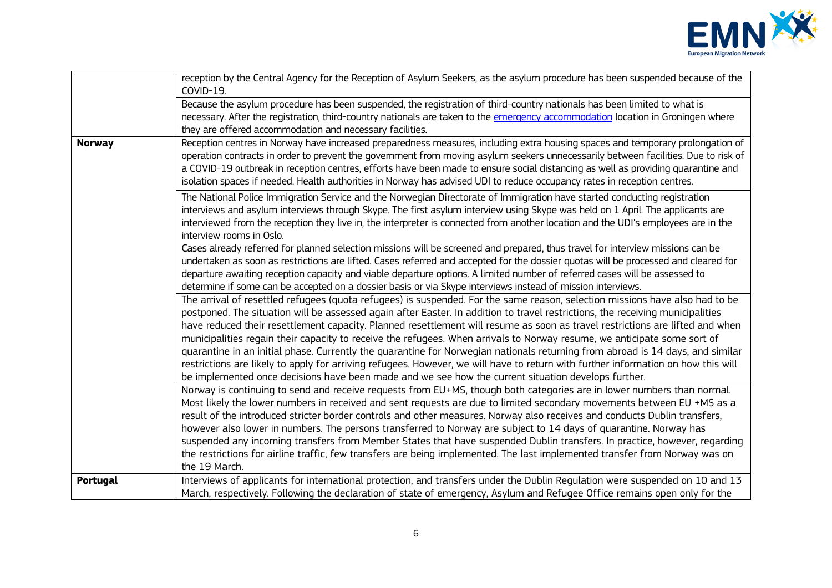

|               | reception by the Central Agency for the Reception of Asylum Seekers, as the asylum procedure has been suspended because of the<br>COVID-19.                                                                                                                                                                                                                                                                                                                                                                                                                                                                                                                                                                                                                                                                                                                                                               |
|---------------|-----------------------------------------------------------------------------------------------------------------------------------------------------------------------------------------------------------------------------------------------------------------------------------------------------------------------------------------------------------------------------------------------------------------------------------------------------------------------------------------------------------------------------------------------------------------------------------------------------------------------------------------------------------------------------------------------------------------------------------------------------------------------------------------------------------------------------------------------------------------------------------------------------------|
|               | Because the asylum procedure has been suspended, the registration of third-country nationals has been limited to what is<br>necessary. After the registration, third-country nationals are taken to the emergency accommodation location in Groningen where<br>they are offered accommodation and necessary facilities.                                                                                                                                                                                                                                                                                                                                                                                                                                                                                                                                                                                   |
| <b>Norway</b> | Reception centres in Norway have increased preparedness measures, including extra housing spaces and temporary prolongation of<br>operation contracts in order to prevent the government from moving asylum seekers unnecessarily between facilities. Due to risk of<br>a COVID-19 outbreak in reception centres, efforts have been made to ensure social distancing as well as providing quarantine and<br>isolation spaces if needed. Health authorities in Norway has advised UDI to reduce occupancy rates in reception centres.                                                                                                                                                                                                                                                                                                                                                                      |
|               | The National Police Immigration Service and the Norwegian Directorate of Immigration have started conducting registration<br>interviews and asylum interviews through Skype. The first asylum interview using Skype was held on 1 April. The applicants are<br>interviewed from the reception they live in, the interpreter is connected from another location and the UDI's employees are in the<br>interview rooms in Oslo.                                                                                                                                                                                                                                                                                                                                                                                                                                                                             |
|               | Cases already referred for planned selection missions will be screened and prepared, thus travel for interview missions can be<br>undertaken as soon as restrictions are lifted. Cases referred and accepted for the dossier quotas will be processed and cleared for<br>departure awaiting reception capacity and viable departure options. A limited number of referred cases will be assessed to<br>determine if some can be accepted on a dossier basis or via Skype interviews instead of mission interviews.                                                                                                                                                                                                                                                                                                                                                                                        |
|               | The arrival of resettled refugees (quota refugees) is suspended. For the same reason, selection missions have also had to be<br>postponed. The situation will be assessed again after Easter. In addition to travel restrictions, the receiving municipalities<br>have reduced their resettlement capacity. Planned resettlement will resume as soon as travel restrictions are lifted and when<br>municipalities regain their capacity to receive the refugees. When arrivals to Norway resume, we anticipate some sort of<br>quarantine in an initial phase. Currently the quarantine for Norwegian nationals returning from abroad is 14 days, and similar<br>restrictions are likely to apply for arriving refugees. However, we will have to return with further information on how this will<br>be implemented once decisions have been made and we see how the current situation develops further. |
|               | Norway is continuing to send and receive requests from EU+MS, though both categories are in lower numbers than normal.<br>Most likely the lower numbers in received and sent requests are due to limited secondary movements between EU +MS as a<br>result of the introduced stricter border controls and other measures. Norway also receives and conducts Dublin transfers,<br>however also lower in numbers. The persons transferred to Norway are subject to 14 days of quarantine. Norway has<br>suspended any incoming transfers from Member States that have suspended Dublin transfers. In practice, however, regarding<br>the restrictions for airline traffic, few transfers are being implemented. The last implemented transfer from Norway was on<br>the 19 March.                                                                                                                           |
| Portugal      | Interviews of applicants for international protection, and transfers under the Dublin Regulation were suspended on 10 and 13<br>March, respectively. Following the declaration of state of emergency, Asylum and Refugee Office remains open only for the                                                                                                                                                                                                                                                                                                                                                                                                                                                                                                                                                                                                                                                 |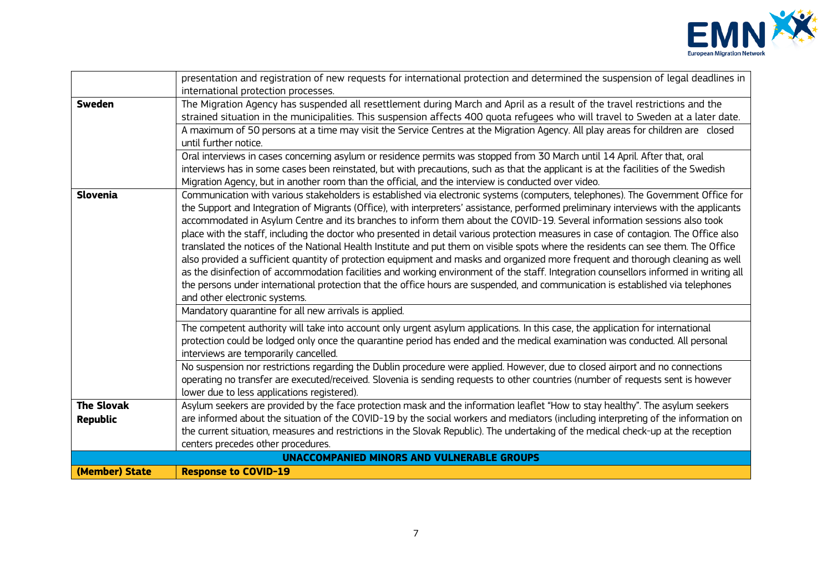

|                   | presentation and registration of new requests for international protection and determined the suspension of legal deadlines in                                                                                                                               |
|-------------------|--------------------------------------------------------------------------------------------------------------------------------------------------------------------------------------------------------------------------------------------------------------|
|                   | international protection processes.                                                                                                                                                                                                                          |
| <b>Sweden</b>     | The Migration Agency has suspended all resettlement during March and April as a result of the travel restrictions and the<br>strained situation in the municipalities. This suspension affects 400 quota refugees who will travel to Sweden at a later date. |
|                   | A maximum of 50 persons at a time may visit the Service Centres at the Migration Agency. All play areas for children are closed                                                                                                                              |
|                   | until further notice.                                                                                                                                                                                                                                        |
|                   | Oral interviews in cases concerning asylum or residence permits was stopped from 30 March until 14 April. After that, oral                                                                                                                                   |
|                   | interviews has in some cases been reinstated, but with precautions, such as that the applicant is at the facilities of the Swedish                                                                                                                           |
|                   | Migration Agency, but in another room than the official, and the interview is conducted over video.                                                                                                                                                          |
| <b>Slovenia</b>   | Communication with various stakeholders is established via electronic systems (computers, telephones). The Government Office for                                                                                                                             |
|                   | the Support and Integration of Migrants (Office), with interpreters' assistance, performed preliminary interviews with the applicants                                                                                                                        |
|                   | accommodated in Asylum Centre and its branches to inform them about the COVID-19. Several information sessions also took                                                                                                                                     |
|                   | place with the staff, including the doctor who presented in detail various protection measures in case of contagion. The Office also                                                                                                                         |
|                   | translated the notices of the National Health Institute and put them on visible spots where the residents can see them. The Office                                                                                                                           |
|                   | also provided a sufficient quantity of protection equipment and masks and organized more frequent and thorough cleaning as well                                                                                                                              |
|                   | as the disinfection of accommodation facilities and working environment of the staff. Integration counsellors informed in writing all                                                                                                                        |
|                   | the persons under international protection that the office hours are suspended, and communication is established via telephones                                                                                                                              |
|                   | and other electronic systems.                                                                                                                                                                                                                                |
|                   | Mandatory quarantine for all new arrivals is applied.                                                                                                                                                                                                        |
|                   | The competent authority will take into account only urgent asylum applications. In this case, the application for international                                                                                                                              |
|                   | protection could be lodged only once the quarantine period has ended and the medical examination was conducted. All personal                                                                                                                                 |
|                   | interviews are temporarily cancelled.                                                                                                                                                                                                                        |
|                   | No suspension nor restrictions regarding the Dublin procedure were applied. However, due to closed airport and no connections                                                                                                                                |
|                   | operating no transfer are executed/received. Slovenia is sending requests to other countries (number of requests sent is however                                                                                                                             |
|                   | lower due to less applications registered).                                                                                                                                                                                                                  |
| <b>The Slovak</b> | Asylum seekers are provided by the face protection mask and the information leaflet "How to stay healthy". The asylum seekers                                                                                                                                |
| <b>Republic</b>   | are informed about the situation of the COVID-19 by the social workers and mediators (including interpreting of the information on                                                                                                                           |
|                   | the current situation, measures and restrictions in the Slovak Republic). The undertaking of the medical check-up at the reception                                                                                                                           |
|                   | centers precedes other procedures.                                                                                                                                                                                                                           |
|                   | <b>UNACCOMPANIED MINORS AND VULNERABLE GROUPS</b>                                                                                                                                                                                                            |
| (Member) State    | <b>Response to COVID-19</b>                                                                                                                                                                                                                                  |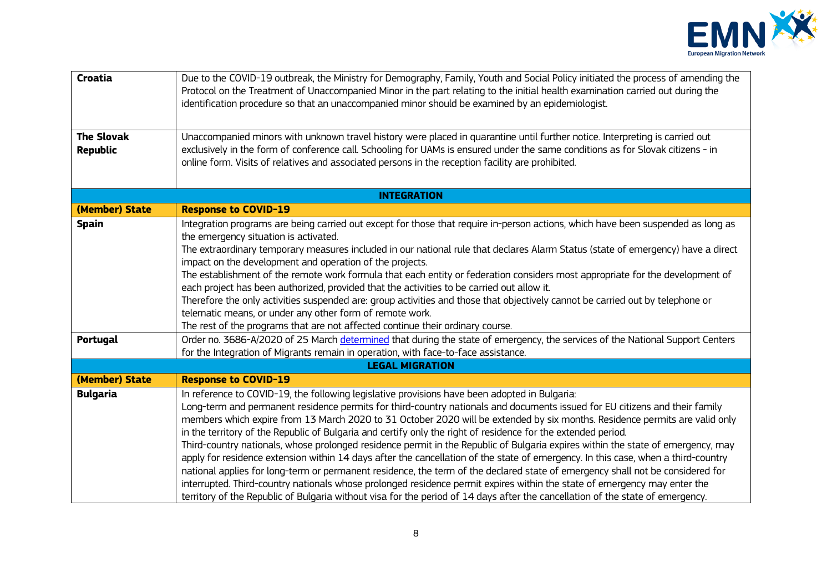

| Croatia<br><b>The Slovak</b><br><b>Republic</b> | Due to the COVID-19 outbreak, the Ministry for Demography, Family, Youth and Social Policy initiated the process of amending the<br>Protocol on the Treatment of Unaccompanied Minor in the part relating to the initial health examination carried out during the<br>identification procedure so that an unaccompanied minor should be examined by an epidemiologist.<br>Unaccompanied minors with unknown travel history were placed in quarantine until further notice. Interpreting is carried out<br>exclusively in the form of conference call. Schooling for UAMs is ensured under the same conditions as for Slovak citizens - in<br>online form. Visits of relatives and associated persons in the reception facility are prohibited.                                                                                                                                                                                                                                                                                                                                                                                                         |
|-------------------------------------------------|--------------------------------------------------------------------------------------------------------------------------------------------------------------------------------------------------------------------------------------------------------------------------------------------------------------------------------------------------------------------------------------------------------------------------------------------------------------------------------------------------------------------------------------------------------------------------------------------------------------------------------------------------------------------------------------------------------------------------------------------------------------------------------------------------------------------------------------------------------------------------------------------------------------------------------------------------------------------------------------------------------------------------------------------------------------------------------------------------------------------------------------------------------|
|                                                 | <b>INTEGRATION</b>                                                                                                                                                                                                                                                                                                                                                                                                                                                                                                                                                                                                                                                                                                                                                                                                                                                                                                                                                                                                                                                                                                                                     |
| (Member) State                                  | <b>Response to COVID-19</b>                                                                                                                                                                                                                                                                                                                                                                                                                                                                                                                                                                                                                                                                                                                                                                                                                                                                                                                                                                                                                                                                                                                            |
| <b>Spain</b><br>Portugal                        | Integration programs are being carried out except for those that require in-person actions, which have been suspended as long as<br>the emergency situation is activated.<br>The extraordinary temporary measures included in our national rule that declares Alarm Status (state of emergency) have a direct<br>impact on the development and operation of the projects.<br>The establishment of the remote work formula that each entity or federation considers most appropriate for the development of<br>each project has been authorized, provided that the activities to be carried out allow it.<br>Therefore the only activities suspended are: group activities and those that objectively cannot be carried out by telephone or<br>telematic means, or under any other form of remote work.<br>The rest of the programs that are not affected continue their ordinary course.<br>Order no. 3686-A/2020 of 25 March determined that during the state of emergency, the services of the National Support Centers<br>for the Integration of Migrants remain in operation, with face-to-face assistance.<br><b>LEGAL MIGRATION</b>              |
| (Member) State                                  | <b>Response to COVID-19</b>                                                                                                                                                                                                                                                                                                                                                                                                                                                                                                                                                                                                                                                                                                                                                                                                                                                                                                                                                                                                                                                                                                                            |
| <b>Bulgaria</b>                                 | In reference to COVID-19, the following legislative provisions have been adopted in Bulgaria:<br>Long-term and permanent residence permits for third-country nationals and documents issued for EU citizens and their family<br>members which expire from 13 March 2020 to 31 October 2020 will be extended by six months. Residence permits are valid only<br>in the territory of the Republic of Bulgaria and certify only the right of residence for the extended period.<br>Third-country nationals, whose prolonged residence permit in the Republic of Bulgaria expires within the state of emergency, may<br>apply for residence extension within 14 days after the cancellation of the state of emergency. In this case, when a third-country<br>national applies for long-term or permanent residence, the term of the declared state of emergency shall not be considered for<br>interrupted. Third-country nationals whose prolonged residence permit expires within the state of emergency may enter the<br>territory of the Republic of Bulgaria without visa for the period of 14 days after the cancellation of the state of emergency. |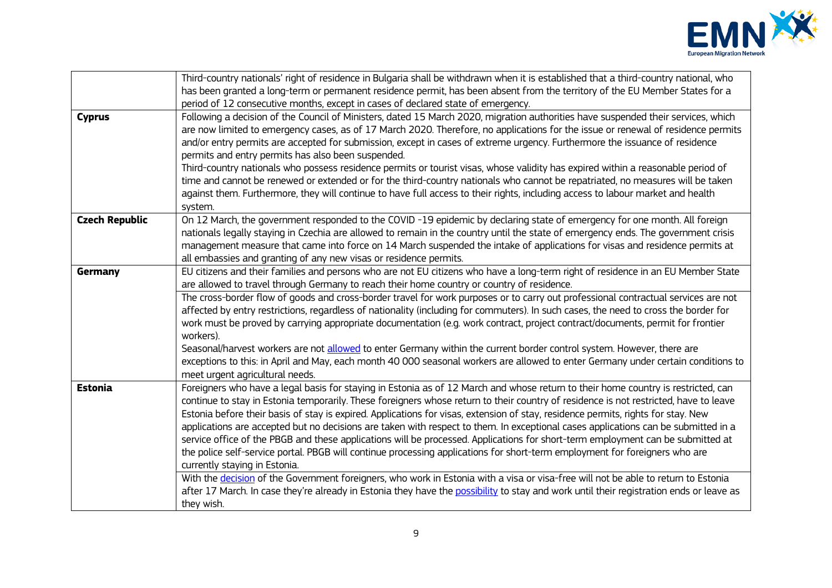

|                       | Third-country nationals' right of residence in Bulgaria shall be withdrawn when it is established that a third-country national, who    |
|-----------------------|-----------------------------------------------------------------------------------------------------------------------------------------|
|                       | has been granted a long-term or permanent residence permit, has been absent from the territory of the EU Member States for a            |
|                       | period of 12 consecutive months, except in cases of declared state of emergency.                                                        |
| <b>Cyprus</b>         | Following a decision of the Council of Ministers, dated 15 March 2020, migration authorities have suspended their services, which       |
|                       | are now limited to emergency cases, as of 17 March 2020. Therefore, no applications for the issue or renewal of residence permits       |
|                       | and/or entry permits are accepted for submission, except in cases of extreme urgency. Furthermore the issuance of residence             |
|                       | permits and entry permits has also been suspended.                                                                                      |
|                       | Third-country nationals who possess residence permits or tourist visas, whose validity has expired within a reasonable period of        |
|                       | time and cannot be renewed or extended or for the third-country nationals who cannot be repatriated, no measures will be taken          |
|                       | against them. Furthermore, they will continue to have full access to their rights, including access to labour market and health         |
|                       | system.                                                                                                                                 |
| <b>Czech Republic</b> | On 12 March, the government responded to the COVID-19 epidemic by declaring state of emergency for one month. All foreign               |
|                       | nationals legally staying in Czechia are allowed to remain in the country until the state of emergency ends. The government crisis      |
|                       | management measure that came into force on 14 March suspended the intake of applications for visas and residence permits at             |
|                       | all embassies and granting of any new visas or residence permits.                                                                       |
| Germany               | EU citizens and their families and persons who are not EU citizens who have a long-term right of residence in an EU Member State        |
|                       | are allowed to travel through Germany to reach their home country or country of residence.                                              |
|                       | The cross-border flow of goods and cross-border travel for work purposes or to carry out professional contractual services are not      |
|                       | affected by entry restrictions, regardless of nationality (including for commuters). In such cases, the need to cross the border for    |
|                       | work must be proved by carrying appropriate documentation (e.g. work contract, project contract/documents, permit for frontier          |
|                       | workers).                                                                                                                               |
|                       | Seasonal/harvest workers are not allowed to enter Germany within the current border control system. However, there are                  |
|                       | exceptions to this: in April and May, each month 40 000 seasonal workers are allowed to enter Germany under certain conditions to       |
|                       | meet urgent agricultural needs.                                                                                                         |
| <b>Estonia</b>        | Foreigners who have a legal basis for staying in Estonia as of 12 March and whose return to their home country is restricted, can       |
|                       | continue to stay in Estonia temporarily. These foreigners whose return to their country of residence is not restricted, have to leave   |
|                       | Estonia before their basis of stay is expired. Applications for visas, extension of stay, residence permits, rights for stay. New       |
|                       | applications are accepted but no decisions are taken with respect to them. In exceptional cases applications can be submitted in a      |
|                       | service office of the PBGB and these applications will be processed. Applications for short-term employment can be submitted at         |
|                       | the police self-service portal. PBGB will continue processing applications for short-term employment for foreigners who are             |
|                       | currently staying in Estonia.                                                                                                           |
|                       | With the decision of the Government foreigners, who work in Estonia with a visa or visa-free will not be able to return to Estonia      |
|                       | after 17 March. In case they're already in Estonia they have the possibility to stay and work until their registration ends or leave as |
|                       | they wish.                                                                                                                              |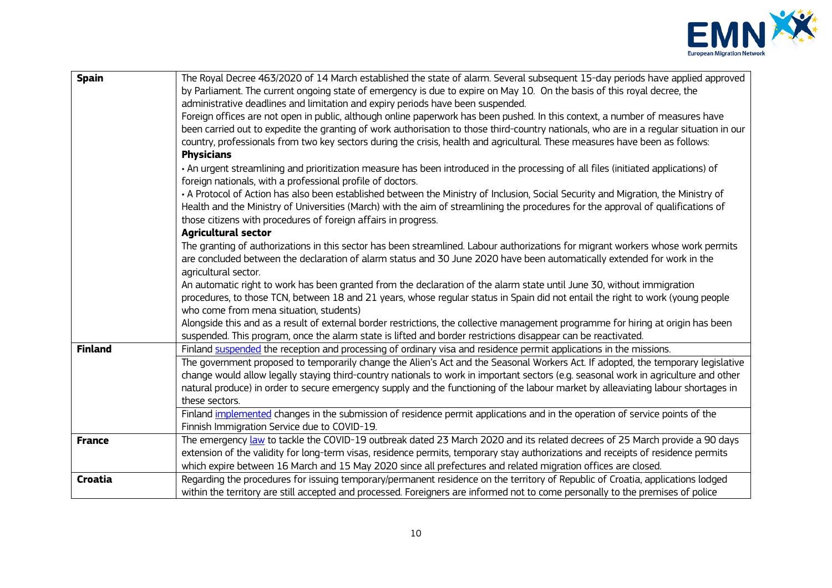

| Spain          | The Royal Decree 463/2020 of 14 March established the state of alarm. Several subsequent 15-day periods have applied approved<br>by Parliament. The current ongoing state of emergency is due to expire on May 10. On the basis of this royal decree, the<br>administrative deadlines and limitation and expiry periods have been suspended.<br>Foreign offices are not open in public, although online paperwork has been pushed. In this context, a number of measures have<br>been carried out to expedite the granting of work authorisation to those third-country nationals, who are in a regular situation in our<br>country, professionals from two key sectors during the crisis, health and agricultural. These measures have been as follows:<br><b>Physicians</b><br>· An urgent streamlining and prioritization measure has been introduced in the processing of all files (initiated applications) of<br>foreign nationals, with a professional profile of doctors.<br>• A Protocol of Action has also been established between the Ministry of Inclusion, Social Security and Migration, the Ministry of<br>Health and the Ministry of Universities (March) with the aim of streamlining the procedures for the approval of qualifications of<br>those citizens with procedures of foreign affairs in progress.<br><b>Agricultural sector</b><br>The granting of authorizations in this sector has been streamlined. Labour authorizations for migrant workers whose work permits |
|----------------|--------------------------------------------------------------------------------------------------------------------------------------------------------------------------------------------------------------------------------------------------------------------------------------------------------------------------------------------------------------------------------------------------------------------------------------------------------------------------------------------------------------------------------------------------------------------------------------------------------------------------------------------------------------------------------------------------------------------------------------------------------------------------------------------------------------------------------------------------------------------------------------------------------------------------------------------------------------------------------------------------------------------------------------------------------------------------------------------------------------------------------------------------------------------------------------------------------------------------------------------------------------------------------------------------------------------------------------------------------------------------------------------------------------------------------------------------------------------------------------------------|
|                | are concluded between the declaration of alarm status and 30 June 2020 have been automatically extended for work in the<br>agricultural sector.<br>An automatic right to work has been granted from the declaration of the alarm state until June 30, without immigration<br>procedures, to those TCN, between 18 and 21 years, whose regular status in Spain did not entail the right to work (young people<br>who come from mena situation, students)<br>Alongside this and as a result of external border restrictions, the collective management programme for hiring at origin has been<br>suspended. This program, once the alarm state is lifted and border restrictions disappear can be reactivated.                                                                                                                                                                                                                                                                                                                                                                                                                                                                                                                                                                                                                                                                                                                                                                                    |
| <b>Finland</b> | Finland suspended the reception and processing of ordinary visa and residence permit applications in the missions.<br>The government proposed to temporarily change the Alien's Act and the Seasonal Workers Act. If adopted, the temporary legislative<br>change would allow legally staying third-country nationals to work in important sectors (e.g. seasonal work in agriculture and other<br>natural produce) in order to secure emergency supply and the functioning of the labour market by alleaviating labour shortages in<br>these sectors.<br>Finland implemented changes in the submission of residence permit applications and in the operation of service points of the                                                                                                                                                                                                                                                                                                                                                                                                                                                                                                                                                                                                                                                                                                                                                                                                           |
| <b>France</b>  | Finnish Immigration Service due to COVID-19.<br>The emergency law to tackle the COVID-19 outbreak dated 23 March 2020 and its related decrees of 25 March provide a 90 days<br>extension of the validity for long-term visas, residence permits, temporary stay authorizations and receipts of residence permits<br>which expire between 16 March and 15 May 2020 since all prefectures and related migration offices are closed.                                                                                                                                                                                                                                                                                                                                                                                                                                                                                                                                                                                                                                                                                                                                                                                                                                                                                                                                                                                                                                                                |
| Croatia        | Regarding the procedures for issuing temporary/permanent residence on the territory of Republic of Croatia, applications lodged<br>within the territory are still accepted and processed. Foreigners are informed not to come personally to the premises of police                                                                                                                                                                                                                                                                                                                                                                                                                                                                                                                                                                                                                                                                                                                                                                                                                                                                                                                                                                                                                                                                                                                                                                                                                               |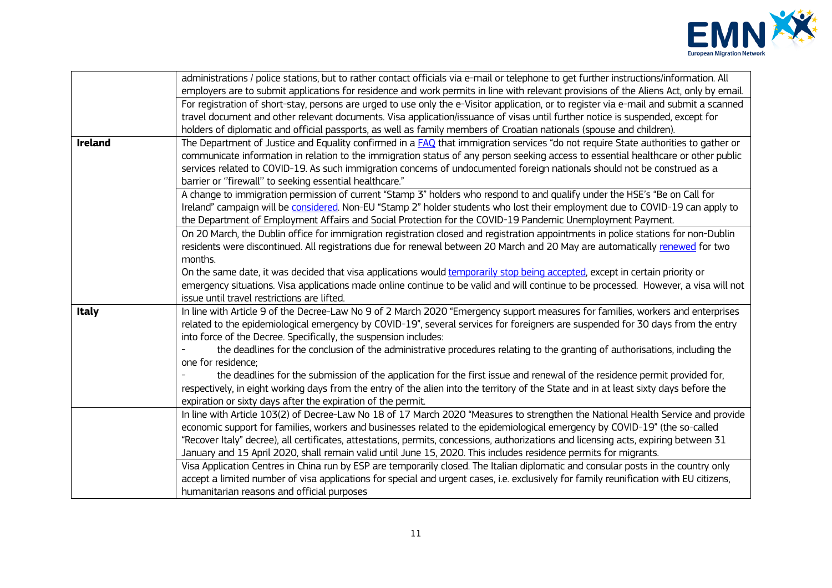

| <b>Ireland</b> | administrations / police stations, but to rather contact officials via e-mail or telephone to get further instructions/information. All<br>employers are to submit applications for residence and work permits in line with relevant provisions of the Aliens Act, only by email.<br>For registration of short-stay, persons are urged to use only the e-Visitor application, or to register via e-mail and submit a scanned<br>travel document and other relevant documents. Visa application/issuance of visas until further notice is suspended, except for<br>holders of diplomatic and official passports, as well as family members of Croatian nationals (spouse and children).<br>The Department of Justice and Equality confirmed in a FAQ that immigration services "do not require State authorities to gather or                              |
|----------------|-----------------------------------------------------------------------------------------------------------------------------------------------------------------------------------------------------------------------------------------------------------------------------------------------------------------------------------------------------------------------------------------------------------------------------------------------------------------------------------------------------------------------------------------------------------------------------------------------------------------------------------------------------------------------------------------------------------------------------------------------------------------------------------------------------------------------------------------------------------|
|                | communicate information in relation to the immigration status of any person seeking access to essential healthcare or other public<br>services related to COVID-19. As such immigration concerns of undocumented foreign nationals should not be construed as a<br>barrier or "firewall" to seeking essential healthcare."                                                                                                                                                                                                                                                                                                                                                                                                                                                                                                                                |
|                | A change to immigration permission of current "Stamp 3" holders who respond to and qualify under the HSE's "Be on Call for<br>Ireland" campaign will be considered. Non-EU "Stamp 2" holder students who lost their employment due to COVID-19 can apply to<br>the Department of Employment Affairs and Social Protection for the COVID-19 Pandemic Unemployment Payment.                                                                                                                                                                                                                                                                                                                                                                                                                                                                                 |
|                | On 20 March, the Dublin office for immigration registration closed and registration appointments in police stations for non-Dublin<br>residents were discontinued. All registrations due for renewal between 20 March and 20 May are automatically renewed for two<br>months.<br>On the same date, it was decided that visa applications would temporarily stop being accepted, except in certain priority or<br>emergency situations. Visa applications made online continue to be valid and will continue to be processed. However, a visa will not<br>issue until travel restrictions are lifted.                                                                                                                                                                                                                                                      |
| <b>Italy</b>   | In line with Article 9 of the Decree-Law No 9 of 2 March 2020 "Emergency support measures for families, workers and enterprises<br>related to the epidemiological emergency by COVID-19", several services for foreigners are suspended for 30 days from the entry<br>into force of the Decree. Specifically, the suspension includes:<br>the deadlines for the conclusion of the administrative procedures relating to the granting of authorisations, including the<br>one for residence:<br>the deadlines for the submission of the application for the first issue and renewal of the residence permit provided for,<br>respectively, in eight working days from the entry of the alien into the territory of the State and in at least sixty days before the<br>expiration or sixty days after the expiration of the permit.                         |
|                | In line with Article 103(2) of Decree-Law No 18 of 17 March 2020 "Measures to strengthen the National Health Service and provide<br>economic support for families, workers and businesses related to the epidemiological emergency by COVID-19" (the so-called<br>"Recover Italy" decree), all certificates, attestations, permits, concessions, authorizations and licensing acts, expiring between 31<br>January and 15 April 2020, shall remain valid until June 15, 2020. This includes residence permits for migrants.<br>Visa Application Centres in China run by ESP are temporarily closed. The Italian diplomatic and consular posts in the country only<br>accept a limited number of visa applications for special and urgent cases, i.e. exclusively for family reunification with EU citizens,<br>humanitarian reasons and official purposes |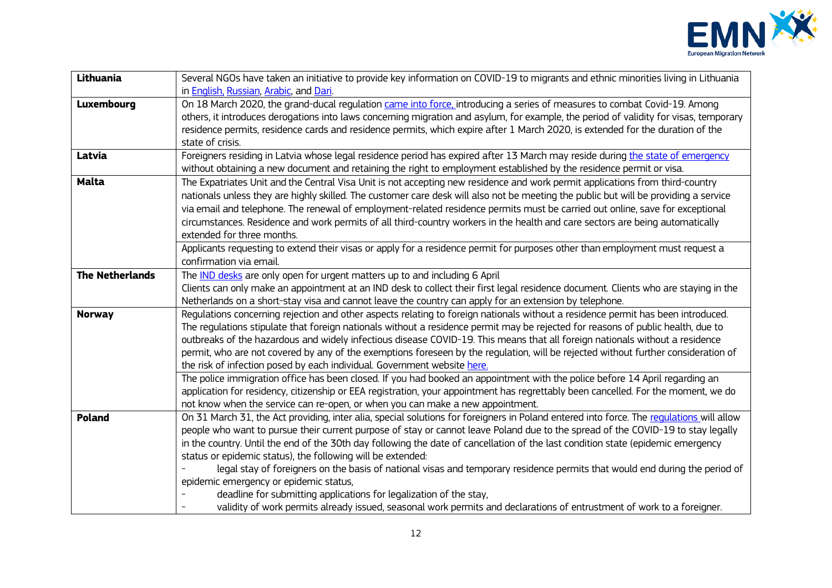

| Lithuania              | Several NGOs have taken an initiative to provide key information on COVID-19 to migrants and ethnic minorities living in Lithuania       |
|------------------------|------------------------------------------------------------------------------------------------------------------------------------------|
|                        | in <b>English, Russian, Arabic</b> , and Dari.                                                                                           |
| Luxembourg             | On 18 March 2020, the grand-ducal regulation came into force, introducing a series of measures to combat Covid-19. Among                 |
|                        | others, it introduces derogations into laws concerning migration and asylum, for example, the period of validity for visas, temporary    |
|                        | residence permits, residence cards and residence permits, which expire after 1 March 2020, is extended for the duration of the           |
|                        | state of crisis.                                                                                                                         |
| Latvia                 | Foreigners residing in Latvia whose legal residence period has expired after 13 March may reside during the state of emergency           |
|                        | without obtaining a new document and retaining the right to employment established by the residence permit or visa.                      |
| <b>Malta</b>           | The Expatriates Unit and the Central Visa Unit is not accepting new residence and work permit applications from third-country            |
|                        | nationals unless they are highly skilled. The customer care desk will also not be meeting the public but will be providing a service     |
|                        | via email and telephone. The renewal of employment-related residence permits must be carried out online, save for exceptional            |
|                        | circumstances. Residence and work permits of all third-country workers in the health and care sectors are being automatically            |
|                        | extended for three months.                                                                                                               |
|                        | Applicants requesting to extend their visas or apply for a residence permit for purposes other than employment must request a            |
|                        | confirmation via email.                                                                                                                  |
| <b>The Netherlands</b> | The IND desks are only open for urgent matters up to and including 6 April                                                               |
|                        | Clients can only make an appointment at an IND desk to collect their first legal residence document. Clients who are staying in the      |
|                        | Netherlands on a short-stay visa and cannot leave the country can apply for an extension by telephone.                                   |
| <b>Norway</b>          | Regulations concerning rejection and other aspects relating to foreign nationals without a residence permit has been introduced.         |
|                        | The regulations stipulate that foreign nationals without a residence permit may be rejected for reasons of public health, due to         |
|                        | outbreaks of the hazardous and widely infectious disease COVID-19. This means that all foreign nationals without a residence             |
|                        | permit, who are not covered by any of the exemptions foreseen by the regulation, will be rejected without further consideration of       |
|                        | the risk of infection posed by each individual. Government website here.                                                                 |
|                        | The police immigration office has been closed. If you had booked an appointment with the police before 14 April regarding an             |
|                        | application for residency, citizenship or EEA registration, your appointment has regrettably been cancelled. For the moment, we do       |
|                        | not know when the service can re-open, or when you can make a new appointment.                                                           |
| Poland                 | On 31 March 31, the Act providing, inter alia, special solutions for foreigners in Poland entered into force. The regulations will allow |
|                        | people who want to pursue their current purpose of stay or cannot leave Poland due to the spread of the COVID-19 to stay legally         |
|                        | in the country. Until the end of the 30th day following the date of cancellation of the last condition state (epidemic emergency         |
|                        | status or epidemic status), the following will be extended:                                                                              |
|                        | legal stay of foreigners on the basis of national visas and temporary residence permits that would end during the period of              |
|                        | epidemic emergency or epidemic status,                                                                                                   |
|                        | deadline for submitting applications for legalization of the stay,                                                                       |
|                        | validity of work permits already issued, seasonal work permits and declarations of entrustment of work to a foreigner.                   |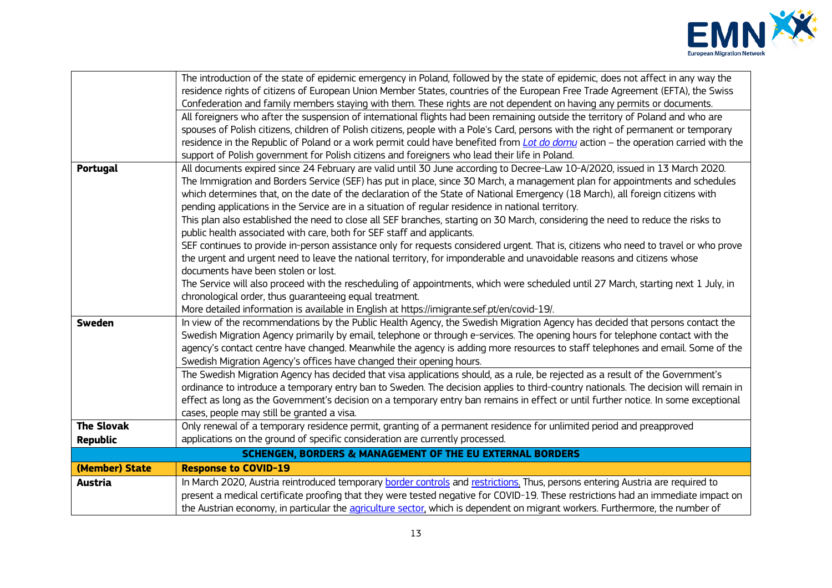

|                   | The introduction of the state of epidemic emergency in Poland, followed by the state of epidemic, does not affect in any way the<br>residence rights of citizens of European Union Member States, countries of the European Free Trade Agreement (EFTA), the Swiss |
|-------------------|--------------------------------------------------------------------------------------------------------------------------------------------------------------------------------------------------------------------------------------------------------------------|
|                   | Confederation and family members staying with them. These rights are not dependent on having any permits or documents.<br>All foreigners who after the suspension of international flights had been remaining outside the territory of Poland and who are          |
|                   | spouses of Polish citizens, children of Polish citizens, people with a Pole's Card, persons with the right of permanent or temporary                                                                                                                               |
|                   | residence in the Republic of Poland or a work permit could have benefited from <i>Lot do domu</i> action - the operation carried with the                                                                                                                          |
|                   | support of Polish government for Polish citizens and foreigners who lead their life in Poland.                                                                                                                                                                     |
| Portugal          | All documents expired since 24 February are valid until 30 June according to Decree-Law 10-A/2020, issued in 13 March 2020.                                                                                                                                        |
|                   | The Immigration and Borders Service (SEF) has put in place, since 30 March, a management plan for appointments and schedules                                                                                                                                       |
|                   | which determines that, on the date of the declaration of the State of National Emergency (18 March), all foreign citizens with                                                                                                                                     |
|                   | pending applications in the Service are in a situation of regular residence in national territory.                                                                                                                                                                 |
|                   | This plan also established the need to close all SEF branches, starting on 30 March, considering the need to reduce the risks to                                                                                                                                   |
|                   | public health associated with care, both for SEF staff and applicants.<br>SEF continues to provide in-person assistance only for requests considered urgent. That is, citizens who need to travel or who prove                                                     |
|                   | the urgent and urgent need to leave the national territory, for imponderable and unavoidable reasons and citizens whose                                                                                                                                            |
|                   | documents have been stolen or lost.                                                                                                                                                                                                                                |
|                   | The Service will also proceed with the rescheduling of appointments, which were scheduled until 27 March, starting next 1 July, in                                                                                                                                 |
|                   | chronological order, thus guaranteeing equal treatment.                                                                                                                                                                                                            |
|                   | More detailed information is available in English at https://imigrante.sef.pt/en/covid-19/.                                                                                                                                                                        |
| <b>Sweden</b>     | In view of the recommendations by the Public Health Agency, the Swedish Migration Agency has decided that persons contact the                                                                                                                                      |
|                   | Swedish Migration Agency primarily by email, telephone or through e-services. The opening hours for telephone contact with the                                                                                                                                     |
|                   | agency's contact centre have changed. Meanwhile the agency is adding more resources to staff telephones and email. Some of the                                                                                                                                     |
|                   | Swedish Migration Agency's offices have changed their opening hours.                                                                                                                                                                                               |
|                   | The Swedish Migration Agency has decided that visa applications should, as a rule, be rejected as a result of the Government's                                                                                                                                     |
|                   | ordinance to introduce a temporary entry ban to Sweden. The decision applies to third-country nationals. The decision will remain in                                                                                                                               |
|                   | effect as long as the Government's decision on a temporary entry ban remains in effect or until further notice. In some exceptional                                                                                                                                |
|                   | cases, people may still be granted a visa.                                                                                                                                                                                                                         |
| <b>The Slovak</b> | Only renewal of a temporary residence permit, granting of a permanent residence for unlimited period and preapproved                                                                                                                                               |
| <b>Republic</b>   | applications on the ground of specific consideration are currently processed.                                                                                                                                                                                      |
|                   | <b>SCHENGEN, BORDERS &amp; MANAGEMENT OF THE EU EXTERNAL BORDERS</b>                                                                                                                                                                                               |
| (Member) State    | <b>Response to COVID-19</b>                                                                                                                                                                                                                                        |
| <b>Austria</b>    | In March 2020, Austria reintroduced temporary border controls and restrictions. Thus, persons entering Austria are required to                                                                                                                                     |
|                   | present a medical certificate proofing that they were tested negative for COVID-19. These restrictions had an immediate impact on                                                                                                                                  |
|                   | the Austrian economy, in particular the agriculture sector, which is dependent on migrant workers. Furthermore, the number of                                                                                                                                      |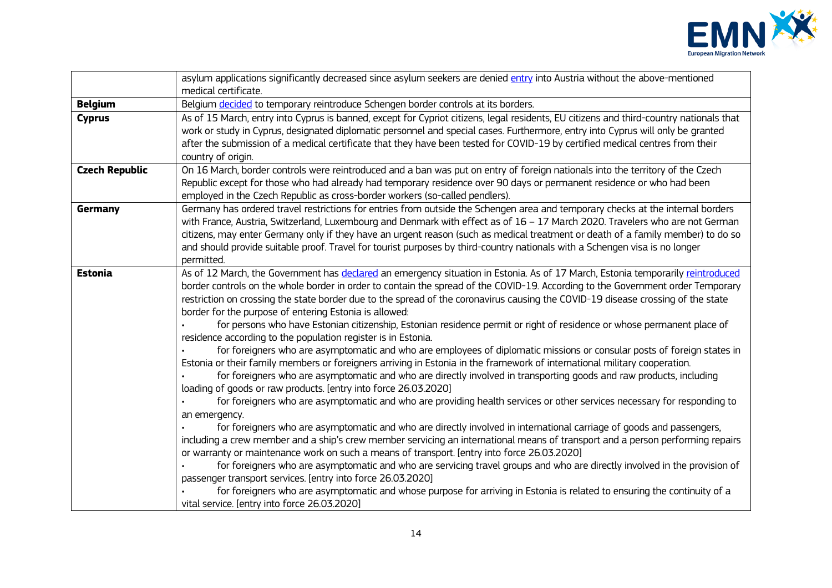

|                       | asylum applications significantly decreased since asylum seekers are denied entry into Austria without the above-mentioned<br>medical certificate.                                                                                                                                                                                                                                                                                                                                                                                                                                                                                                                                                                                                                                                                                                                                                                                                                                                                                                                                                                                                                                                                                                                                                                                                                                                                                                                                                                                                                                                                                                                                                                                                                                                                                                                                                                                                                                         |
|-----------------------|--------------------------------------------------------------------------------------------------------------------------------------------------------------------------------------------------------------------------------------------------------------------------------------------------------------------------------------------------------------------------------------------------------------------------------------------------------------------------------------------------------------------------------------------------------------------------------------------------------------------------------------------------------------------------------------------------------------------------------------------------------------------------------------------------------------------------------------------------------------------------------------------------------------------------------------------------------------------------------------------------------------------------------------------------------------------------------------------------------------------------------------------------------------------------------------------------------------------------------------------------------------------------------------------------------------------------------------------------------------------------------------------------------------------------------------------------------------------------------------------------------------------------------------------------------------------------------------------------------------------------------------------------------------------------------------------------------------------------------------------------------------------------------------------------------------------------------------------------------------------------------------------------------------------------------------------------------------------------------------------|
| <b>Belgium</b>        | Belgium decided to temporary reintroduce Schengen border controls at its borders.                                                                                                                                                                                                                                                                                                                                                                                                                                                                                                                                                                                                                                                                                                                                                                                                                                                                                                                                                                                                                                                                                                                                                                                                                                                                                                                                                                                                                                                                                                                                                                                                                                                                                                                                                                                                                                                                                                          |
| <b>Cyprus</b>         | As of 15 March, entry into Cyprus is banned, except for Cypriot citizens, legal residents, EU citizens and third-country nationals that<br>work or study in Cyprus, designated diplomatic personnel and special cases. Furthermore, entry into Cyprus will only be granted<br>after the submission of a medical certificate that they have been tested for COVID-19 by certified medical centres from their<br>country of origin.                                                                                                                                                                                                                                                                                                                                                                                                                                                                                                                                                                                                                                                                                                                                                                                                                                                                                                                                                                                                                                                                                                                                                                                                                                                                                                                                                                                                                                                                                                                                                          |
| <b>Czech Republic</b> | On 16 March, border controls were reintroduced and a ban was put on entry of foreign nationals into the territory of the Czech<br>Republic except for those who had already had temporary residence over 90 days or permanent residence or who had been<br>employed in the Czech Republic as cross-border workers (so-called pendlers).                                                                                                                                                                                                                                                                                                                                                                                                                                                                                                                                                                                                                                                                                                                                                                                                                                                                                                                                                                                                                                                                                                                                                                                                                                                                                                                                                                                                                                                                                                                                                                                                                                                    |
| Germany               | Germany has ordered travel restrictions for entries from outside the Schengen area and temporary checks at the internal borders<br>with France, Austria, Switzerland, Luxembourg and Denmark with effect as of $16 - 17$ March 2020. Travelers who are not German<br>citizens, may enter Germany only if they have an urgent reason (such as medical treatment or death of a family member) to do so<br>and should provide suitable proof. Travel for tourist purposes by third-country nationals with a Schengen visa is no longer<br>permitted.                                                                                                                                                                                                                                                                                                                                                                                                                                                                                                                                                                                                                                                                                                                                                                                                                                                                                                                                                                                                                                                                                                                                                                                                                                                                                                                                                                                                                                          |
| <b>Estonia</b>        | As of 12 March, the Government has declared an emergency situation in Estonia. As of 17 March, Estonia temporarily reintroduced<br>border controls on the whole border in order to contain the spread of the COVID-19. According to the Government order Temporary<br>restriction on crossing the state border due to the spread of the coronavirus causing the COVID-19 disease crossing of the state<br>border for the purpose of entering Estonia is allowed:<br>for persons who have Estonian citizenship, Estonian residence permit or right of residence or whose permanent place of<br>residence according to the population register is in Estonia.<br>for foreigners who are asymptomatic and who are employees of diplomatic missions or consular posts of foreign states in<br>Estonia or their family members or foreigners arriving in Estonia in the framework of international military cooperation.<br>for foreigners who are asymptomatic and who are directly involved in transporting goods and raw products, including<br>loading of goods or raw products. [entry into force 26.03.2020]<br>for foreigners who are asymptomatic and who are providing health services or other services necessary for responding to<br>an emergency.<br>for foreigners who are asymptomatic and who are directly involved in international carriage of goods and passengers,<br>including a crew member and a ship's crew member servicing an international means of transport and a person performing repairs<br>or warranty or maintenance work on such a means of transport. [entry into force 26.03.2020]<br>for foreigners who are asymptomatic and who are servicing travel groups and who are directly involved in the provision of<br>passenger transport services. [entry into force 26.03.2020]<br>for foreigners who are asymptomatic and whose purpose for arriving in Estonia is related to ensuring the continuity of a<br>vital service. [entry into force 26.03.2020] |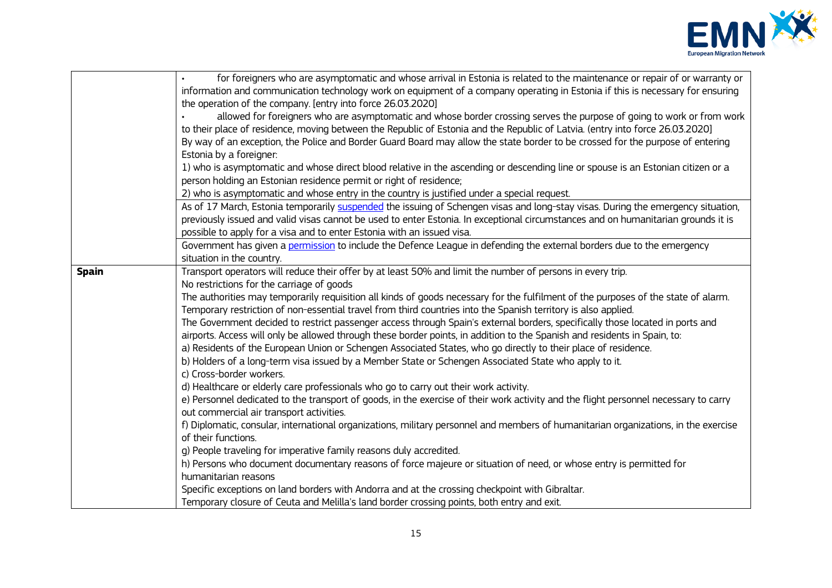

|              | for foreigners who are asymptomatic and whose arrival in Estonia is related to the maintenance or repair of or warranty or           |
|--------------|--------------------------------------------------------------------------------------------------------------------------------------|
|              | information and communication technology work on equipment of a company operating in Estonia if this is necessary for ensuring       |
|              | the operation of the company. [entry into force 26.03.2020]                                                                          |
|              | allowed for foreigners who are asymptomatic and whose border crossing serves the purpose of going to work or from work               |
|              | to their place of residence, moving between the Republic of Estonia and the Republic of Latvia. (entry into force 26.03.2020)        |
|              | By way of an exception, the Police and Border Guard Board may allow the state border to be crossed for the purpose of entering       |
|              | Estonia by a foreigner:                                                                                                              |
|              | 1) who is asymptomatic and whose direct blood relative in the ascending or descending line or spouse is an Estonian citizen or a     |
|              | person holding an Estonian residence permit or right of residence;                                                                   |
|              | 2) who is asymptomatic and whose entry in the country is justified under a special request.                                          |
|              | As of 17 March, Estonia temporarily suspended the issuing of Schengen visas and long-stay visas. During the emergency situation,     |
|              | previously issued and valid visas cannot be used to enter Estonia. In exceptional circumstances and on humanitarian grounds it is    |
|              | possible to apply for a visa and to enter Estonia with an issued visa.                                                               |
|              | Government has given a permission to include the Defence League in defending the external borders due to the emergency               |
|              | situation in the country.                                                                                                            |
| <b>Spain</b> | Transport operators will reduce their offer by at least 50% and limit the number of persons in every trip.                           |
|              | No restrictions for the carriage of goods                                                                                            |
|              | The authorities may temporarily requisition all kinds of goods necessary for the fulfilment of the purposes of the state of alarm.   |
|              | Temporary restriction of non-essential travel from third countries into the Spanish territory is also applied.                       |
|              | The Government decided to restrict passenger access through Spain's external borders, specifically those located in ports and        |
|              | airports. Access will only be allowed through these border points, in addition to the Spanish and residents in Spain, to:            |
|              | a) Residents of the European Union or Schengen Associated States, who go directly to their place of residence.                       |
|              | b) Holders of a long-term visa issued by a Member State or Schengen Associated State who apply to it.                                |
|              | c) Cross-border workers.                                                                                                             |
|              | d) Healthcare or elderly care professionals who go to carry out their work activity.                                                 |
|              | e) Personnel dedicated to the transport of goods, in the exercise of their work activity and the flight personnel necessary to carry |
|              | out commercial air transport activities.                                                                                             |
|              | f) Diplomatic, consular, international organizations, military personnel and members of humanitarian organizations, in the exercise  |
|              | of their functions.                                                                                                                  |
|              | g) People traveling for imperative family reasons duly accredited.                                                                   |
|              | h) Persons who document documentary reasons of force majeure or situation of need, or whose entry is permitted for                   |
|              | humanitarian reasons                                                                                                                 |
|              | Specific exceptions on land borders with Andorra and at the crossing checkpoint with Gibraltar.                                      |
|              | Temporary closure of Ceuta and Melilla's land border crossing points, both entry and exit.                                           |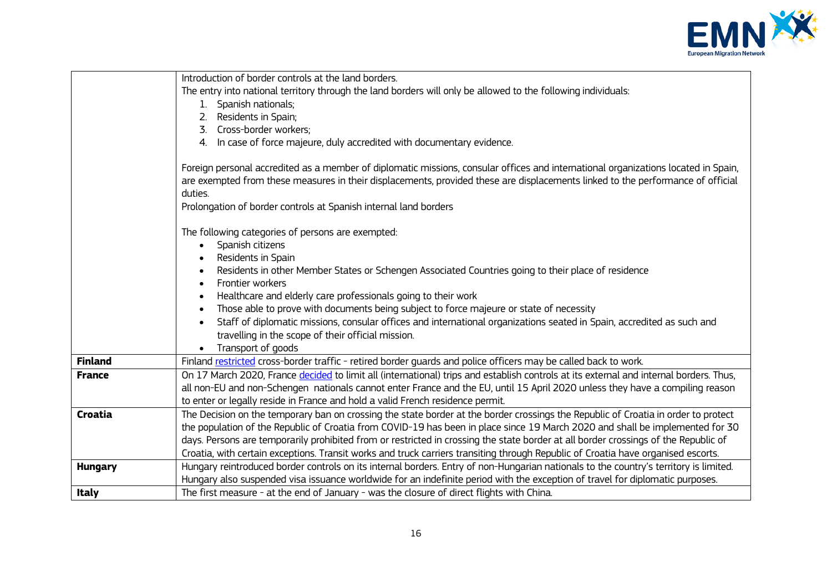

|                | Introduction of border controls at the land borders.                                                                                                                                                                                                                                                                                                 |
|----------------|------------------------------------------------------------------------------------------------------------------------------------------------------------------------------------------------------------------------------------------------------------------------------------------------------------------------------------------------------|
|                |                                                                                                                                                                                                                                                                                                                                                      |
|                | The entry into national territory through the land borders will only be allowed to the following individuals:                                                                                                                                                                                                                                        |
|                | 1. Spanish nationals;                                                                                                                                                                                                                                                                                                                                |
|                | Residents in Spain;<br>2.                                                                                                                                                                                                                                                                                                                            |
|                | Cross-border workers;<br>3.                                                                                                                                                                                                                                                                                                                          |
|                | 4. In case of force majeure, duly accredited with documentary evidence.                                                                                                                                                                                                                                                                              |
|                | Foreign personal accredited as a member of diplomatic missions, consular offices and international organizations located in Spain,<br>are exempted from these measures in their displacements, provided these are displacements linked to the performance of official<br>duties.<br>Prolongation of border controls at Spanish internal land borders |
|                |                                                                                                                                                                                                                                                                                                                                                      |
|                | The following categories of persons are exempted:                                                                                                                                                                                                                                                                                                    |
|                | Spanish citizens<br>$\bullet$                                                                                                                                                                                                                                                                                                                        |
|                | Residents in Spain<br>$\bullet$                                                                                                                                                                                                                                                                                                                      |
|                | Residents in other Member States or Schengen Associated Countries going to their place of residence                                                                                                                                                                                                                                                  |
|                | Frontier workers<br>$\bullet$                                                                                                                                                                                                                                                                                                                        |
|                | Healthcare and elderly care professionals going to their work                                                                                                                                                                                                                                                                                        |
|                | Those able to prove with documents being subject to force majeure or state of necessity<br>$\bullet$                                                                                                                                                                                                                                                 |
|                | Staff of diplomatic missions, consular offices and international organizations seated in Spain, accredited as such and<br>$\bullet$                                                                                                                                                                                                                  |
|                | travelling in the scope of their official mission.                                                                                                                                                                                                                                                                                                   |
|                | Transport of goods                                                                                                                                                                                                                                                                                                                                   |
| <b>Finland</b> | Finland restricted cross-border traffic - retired border quards and police officers may be called back to work.                                                                                                                                                                                                                                      |
| <b>France</b>  | On 17 March 2020, France decided to limit all (international) trips and establish controls at its external and internal borders. Thus,                                                                                                                                                                                                               |
|                | all non-EU and non-Schengen nationals cannot enter France and the EU, until 15 April 2020 unless they have a compiling reason                                                                                                                                                                                                                        |
|                | to enter or legally reside in France and hold a valid French residence permit.                                                                                                                                                                                                                                                                       |
| Croatia        | The Decision on the temporary ban on crossing the state border at the border crossings the Republic of Croatia in order to protect                                                                                                                                                                                                                   |
|                | the population of the Republic of Croatia from COVID-19 has been in place since 19 March 2020 and shall be implemented for 30                                                                                                                                                                                                                        |
|                | days. Persons are temporarily prohibited from or restricted in crossing the state border at all border crossings of the Republic of                                                                                                                                                                                                                  |
|                | Croatia, with certain exceptions. Transit works and truck carriers transiting through Republic of Croatia have organised escorts.                                                                                                                                                                                                                    |
| <b>Hungary</b> | Hungary reintroduced border controls on its internal borders. Entry of non-Hungarian nationals to the country's territory is limited.                                                                                                                                                                                                                |
|                | Hungary also suspended visa issuance worldwide for an indefinite period with the exception of travel for diplomatic purposes.                                                                                                                                                                                                                        |
| <b>Italy</b>   | The first measure - at the end of January - was the closure of direct flights with China.                                                                                                                                                                                                                                                            |
|                |                                                                                                                                                                                                                                                                                                                                                      |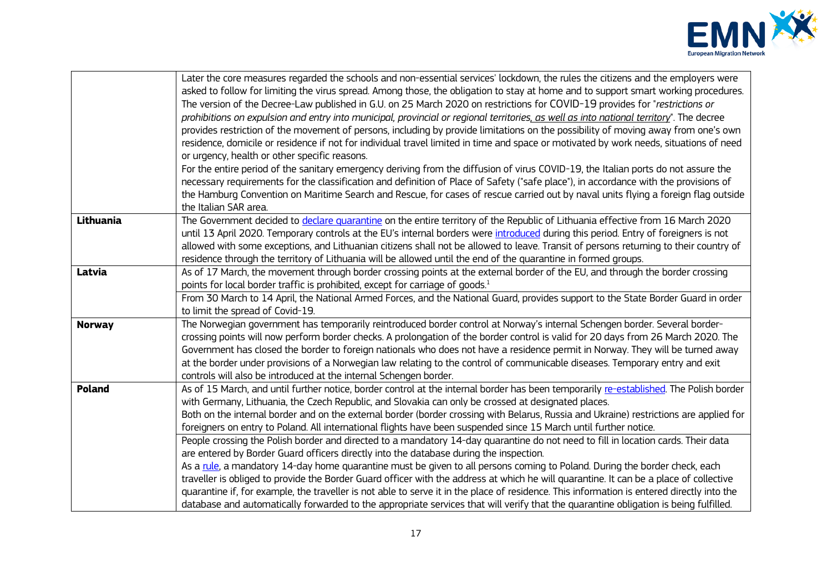

|               | Later the core measures regarded the schools and non-essential services' lockdown, the rules the citizens and the employers were<br>asked to follow for limiting the virus spread. Among those, the obligation to stay at home and to support smart working procedures.<br>The version of the Decree-Law published in G.U. on 25 March 2020 on restrictions for COVID-19 provides for "restrictions or<br>prohibitions on expulsion and entry into municipal, provincial or regional territories, as well as into national territory". The decree<br>provides restriction of the movement of persons, including by provide limitations on the possibility of moving away from one's own<br>residence, domicile or residence if not for individual travel limited in time and space or motivated by work needs, situations of need<br>or urgency, health or other specific reasons.<br>For the entire period of the sanitary emergency deriving from the diffusion of virus COVID-19, the Italian ports do not assure the<br>necessary requirements for the classification and definition of Place of Safety ("safe place"), in accordance with the provisions of<br>the Hamburg Convention on Maritime Search and Rescue, for cases of rescue carried out by naval units flying a foreign flag outside<br>the Italian SAR area. |
|---------------|---------------------------------------------------------------------------------------------------------------------------------------------------------------------------------------------------------------------------------------------------------------------------------------------------------------------------------------------------------------------------------------------------------------------------------------------------------------------------------------------------------------------------------------------------------------------------------------------------------------------------------------------------------------------------------------------------------------------------------------------------------------------------------------------------------------------------------------------------------------------------------------------------------------------------------------------------------------------------------------------------------------------------------------------------------------------------------------------------------------------------------------------------------------------------------------------------------------------------------------------------------------------------------------------------------------------------------|
| Lithuania     | The Government decided to declare quarantine on the entire territory of the Republic of Lithuania effective from 16 March 2020<br>until 13 April 2020. Temporary controls at the EU's internal borders were introduced during this period. Entry of foreigners is not<br>allowed with some exceptions, and Lithuanian citizens shall not be allowed to leave. Transit of persons returning to their country of<br>residence through the territory of Lithuania will be allowed until the end of the quarantine in formed groups.                                                                                                                                                                                                                                                                                                                                                                                                                                                                                                                                                                                                                                                                                                                                                                                                |
| Latvia        | As of 17 March, the movement through border crossing points at the external border of the EU, and through the border crossing<br>points for local border traffic is prohibited, except for carriage of goods. <sup>1</sup><br>From 30 March to 14 April, the National Armed Forces, and the National Guard, provides support to the State Border Guard in order<br>to limit the spread of Covid-19.                                                                                                                                                                                                                                                                                                                                                                                                                                                                                                                                                                                                                                                                                                                                                                                                                                                                                                                             |
| <b>Norway</b> | The Norwegian government has temporarily reintroduced border control at Norway's internal Schengen border. Several border-<br>crossing points will now perform border checks. A prolongation of the border control is valid for 20 days from 26 March 2020. The<br>Government has closed the border to foreign nationals who does not have a residence permit in Norway. They will be turned away<br>at the border under provisions of a Norwegian law relating to the control of communicable diseases. Temporary entry and exit<br>controls will also be introduced at the internal Schengen border.                                                                                                                                                                                                                                                                                                                                                                                                                                                                                                                                                                                                                                                                                                                          |
| Poland        | As of 15 March, and until further notice, border control at the internal border has been temporarily re-established. The Polish border<br>with Germany, Lithuania, the Czech Republic, and Slovakia can only be crossed at designated places.<br>Both on the internal border and on the external border (border crossing with Belarus, Russia and Ukraine) restrictions are applied for<br>foreigners on entry to Poland. All international flights have been suspended since 15 March until further notice.<br>People crossing the Polish border and directed to a mandatory 14-day quarantine do not need to fill in location cards. Their data<br>are entered by Border Guard officers directly into the database during the inspection.<br>As a rule, a mandatory 14-day home quarantine must be given to all persons coming to Poland. During the border check, each<br>traveller is obliged to provide the Border Guard officer with the address at which he will quarantine. It can be a place of collective<br>quarantine if, for example, the traveller is not able to serve it in the place of residence. This information is entered directly into the<br>database and automatically forwarded to the appropriate services that will verify that the quarantine obligation is being fulfilled.                       |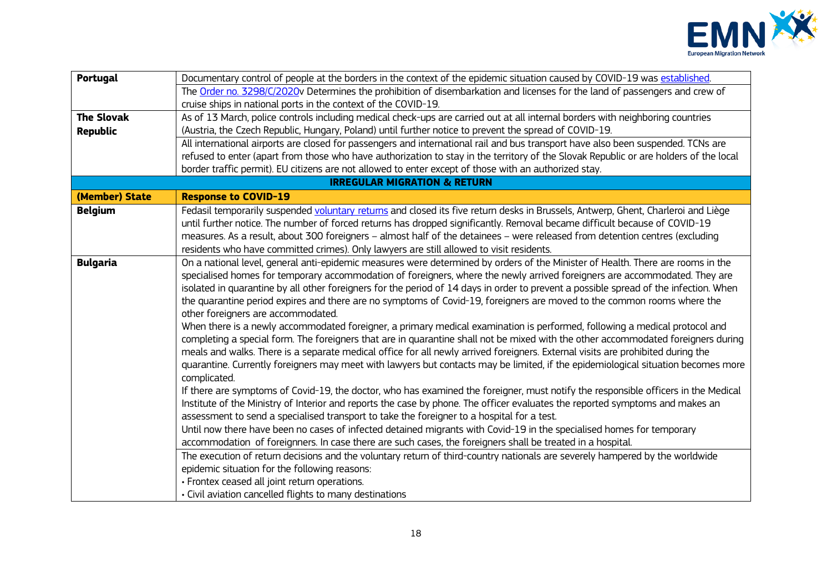

| Portugal          | Documentary control of people at the borders in the context of the epidemic situation caused by COVID-19 was established.                                                                                                                                       |
|-------------------|-----------------------------------------------------------------------------------------------------------------------------------------------------------------------------------------------------------------------------------------------------------------|
|                   | The Order no. 3298/C/2020v Determines the prohibition of disembarkation and licenses for the land of passengers and crew of                                                                                                                                     |
|                   | cruise ships in national ports in the context of the COVID-19.                                                                                                                                                                                                  |
| <b>The Slovak</b> | As of 13 March, police controls including medical check-ups are carried out at all internal borders with neighboring countries                                                                                                                                  |
| <b>Republic</b>   | (Austria, the Czech Republic, Hungary, Poland) until further notice to prevent the spread of COVID-19.                                                                                                                                                          |
|                   | All international airports are closed for passengers and international rail and bus transport have also been suspended. TCNs are                                                                                                                                |
|                   | refused to enter (apart from those who have authorization to stay in the territory of the Slovak Republic or are holders of the local                                                                                                                           |
|                   | border traffic permit). EU citizens are not allowed to enter except of those with an authorized stay.                                                                                                                                                           |
|                   | <b>IRREGULAR MIGRATION &amp; RETURN</b>                                                                                                                                                                                                                         |
| (Member) State    | <b>Response to COVID-19</b>                                                                                                                                                                                                                                     |
| <b>Belgium</b>    | Fedasil temporarily suspended voluntary returns and closed its five return desks in Brussels, Antwerp, Ghent, Charleroi and Liège                                                                                                                               |
|                   | until further notice. The number of forced returns has dropped significantly. Removal became difficult because of COVID-19                                                                                                                                      |
|                   | measures. As a result, about 300 foreigners - almost half of the detainees - were released from detention centres (excluding                                                                                                                                    |
|                   | residents who have committed crimes). Only lawyers are still allowed to visit residents.                                                                                                                                                                        |
| <b>Bulgaria</b>   | On a national level, general anti-epidemic measures were determined by orders of the Minister of Health. There are rooms in the                                                                                                                                 |
|                   | specialised homes for temporary accommodation of foreigners, where the newly arrived foreigners are accommodated. They are                                                                                                                                      |
|                   | isolated in quarantine by all other foreigners for the period of 14 days in order to prevent a possible spread of the infection. When                                                                                                                           |
|                   | the quarantine period expires and there are no symptoms of Covid-19, foreigners are moved to the common rooms where the                                                                                                                                         |
|                   | other foreigners are accommodated.                                                                                                                                                                                                                              |
|                   | When there is a newly accommodated foreigner, a primary medical examination is performed, following a medical protocol and<br>completing a special form. The foreigners that are in quarantine shall not be mixed with the other accommodated foreigners during |
|                   | meals and walks. There is a separate medical office for all newly arrived foreigners. External visits are prohibited during the                                                                                                                                 |
|                   | quarantine. Currently foreigners may meet with lawyers but contacts may be limited, if the epidemiological situation becomes more                                                                                                                               |
|                   | complicated.                                                                                                                                                                                                                                                    |
|                   | If there are symptoms of Covid-19, the doctor, who has examined the foreigner, must notify the responsible officers in the Medical                                                                                                                              |
|                   | Institute of the Ministry of Interior and reports the case by phone. The officer evaluates the reported symptoms and makes an                                                                                                                                   |
|                   | assessment to send a specialised transport to take the foreigner to a hospital for a test.                                                                                                                                                                      |
|                   | Until now there have been no cases of infected detained migrants with Covid-19 in the specialised homes for temporary                                                                                                                                           |
|                   | accommodation of foreignners. In case there are such cases, the foreigners shall be treated in a hospital.                                                                                                                                                      |
|                   | The execution of return decisions and the voluntary return of third-country nationals are severely hampered by the worldwide                                                                                                                                    |
|                   | epidemic situation for the following reasons:                                                                                                                                                                                                                   |
|                   | · Frontex ceased all joint return operations.                                                                                                                                                                                                                   |
|                   | • Civil aviation cancelled flights to many destinations                                                                                                                                                                                                         |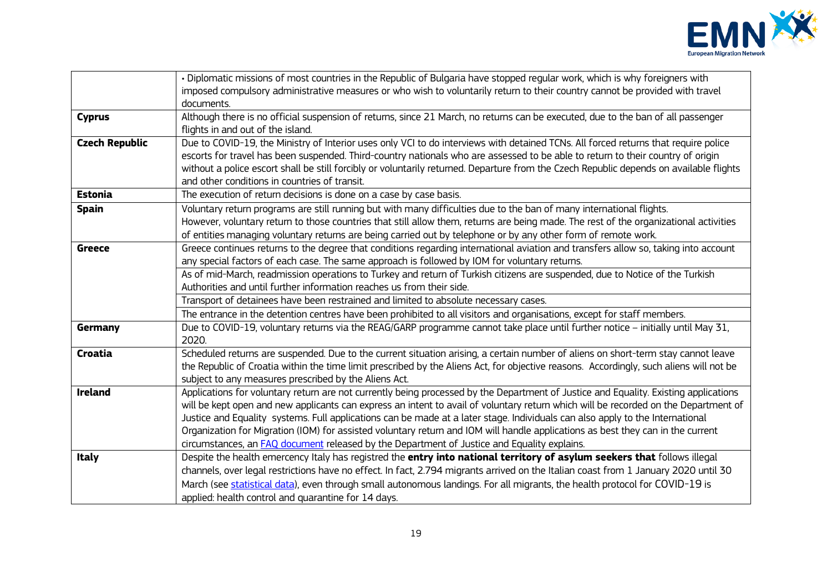

|                       | · Diplomatic missions of most countries in the Republic of Bulgaria have stopped regular work, which is why foreigners with              |
|-----------------------|------------------------------------------------------------------------------------------------------------------------------------------|
|                       | imposed compulsory administrative measures or who wish to voluntarily return to their country cannot be provided with travel             |
|                       | documents.                                                                                                                               |
| <b>Cyprus</b>         | Although there is no official suspension of returns, since 21 March, no returns can be executed, due to the ban of all passenger         |
|                       | flights in and out of the island.                                                                                                        |
| <b>Czech Republic</b> | Due to COVID-19, the Ministry of Interior uses only VCI to do interviews with detained TCNs. All forced returns that require police      |
|                       | escorts for travel has been suspended. Third-country nationals who are assessed to be able to return to their country of origin          |
|                       | without a police escort shall be still forcibly or voluntarily returned. Departure from the Czech Republic depends on available flights  |
|                       | and other conditions in countries of transit.                                                                                            |
| <b>Estonia</b>        | The execution of return decisions is done on a case by case basis.                                                                       |
| <b>Spain</b>          | Voluntary return programs are still running but with many difficulties due to the ban of many international flights.                     |
|                       | However, voluntary return to those countries that still allow them, returns are being made. The rest of the organizational activities    |
|                       | of entities managing voluntary returns are being carried out by telephone or by any other form of remote work.                           |
| <b>Greece</b>         | Greece continues returns to the degree that conditions regarding international aviation and transfers allow so, taking into account      |
|                       | any special factors of each case. The same approach is followed by IOM for voluntary returns.                                            |
|                       | As of mid-March, readmission operations to Turkey and return of Turkish citizens are suspended, due to Notice of the Turkish             |
|                       | Authorities and until further information reaches us from their side.                                                                    |
|                       | Transport of detainees have been restrained and limited to absolute necessary cases.                                                     |
|                       | The entrance in the detention centres have been prohibited to all visitors and organisations, except for staff members.                  |
| Germany               | Due to COVID-19, voluntary returns via the REAG/GARP programme cannot take place until further notice - initially until May 31,<br>2020. |
| Croatia               | Scheduled returns are suspended. Due to the current situation arising, a certain number of aliens on short-term stay cannot leave        |
|                       | the Republic of Croatia within the time limit prescribed by the Aliens Act, for objective reasons. Accordingly, such aliens will not be  |
|                       | subject to any measures prescribed by the Aliens Act.                                                                                    |
| <b>Ireland</b>        | Applications for voluntary return are not currently being processed by the Department of Justice and Equality. Existing applications     |
|                       | will be kept open and new applicants can express an intent to avail of voluntary return which will be recorded on the Department of      |
|                       | Justice and Equality systems. Full applications can be made at a later stage. Individuals can also apply to the International            |
|                       | Organization for Migration (IOM) for assisted voluntary return and IOM will handle applications as best they can in the current          |
|                       | circumstances, an FAQ document released by the Department of Justice and Equality explains.                                              |
| <b>Italy</b>          | Despite the health emercency Italy has registred the entry into national territory of asylum seekers that follows illegal                |
|                       | channels, over legal restrictions have no effect. In fact, 2.794 migrants arrived on the Italian coast from 1 January 2020 until 30      |
|                       | March (see statistical data), even through small autonomous landings. For all migrants, the health protocol for COVID-19 is              |
|                       | applied: health control and quarantine for 14 days.                                                                                      |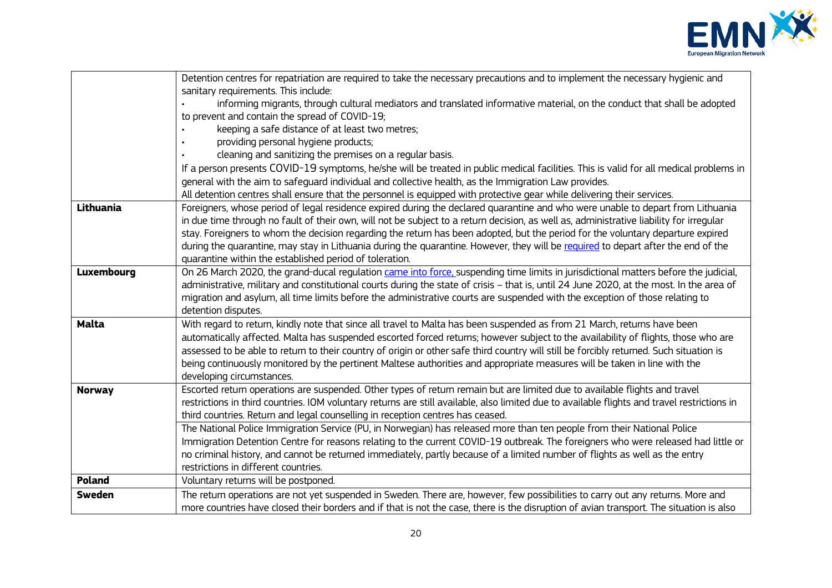

|                   | Detention centres for repatriation are required to take the necessary precautions and to implement the necessary hygienic and                |
|-------------------|----------------------------------------------------------------------------------------------------------------------------------------------|
|                   | sanitary requirements. This include:                                                                                                         |
|                   | informing migrants, through cultural mediators and translated informative material, on the conduct that shall be adopted                     |
|                   | to prevent and contain the spread of COVID-19;                                                                                               |
|                   | keeping a safe distance of at least two metres;                                                                                              |
|                   | providing personal hygiene products;                                                                                                         |
|                   | cleaning and sanitizing the premises on a regular basis.                                                                                     |
|                   | If a person presents COVID-19 symptoms, he/she will be treated in public medical facilities. This is valid for all medical problems in       |
|                   | general with the aim to safeguard individual and collective health, as the Immigration Law provides.                                         |
|                   | All detention centres shall ensure that the personnel is equipped with protective gear while delivering their services.                      |
| Lithuania         | Foreigners, whose period of legal residence expired during the declared quarantine and who were unable to depart from Lithuania              |
|                   | in due time through no fault of their own, will not be subject to a return decision, as well as, administrative liability for irregular      |
|                   | stay. Foreigners to whom the decision regarding the return has been adopted, but the period for the voluntary departure expired              |
|                   | during the quarantine, may stay in Lithuania during the quarantine. However, they will be required to depart after the end of the            |
|                   | quarantine within the established period of toleration.                                                                                      |
| <b>Luxembourg</b> | On 26 March 2020, the grand-ducal regulation came into force, suspending time limits in jurisdictional matters before the judicial,          |
|                   | administrative, military and constitutional courts during the state of crisis - that is, until 24 June 2020, at the most. In the area of     |
|                   | migration and asylum, all time limits before the administrative courts are suspended with the exception of those relating to                 |
|                   | detention disputes.                                                                                                                          |
| <b>Malta</b>      | With regard to return, kindly note that since all travel to Malta has been suspended as from 21 March, returns have been                     |
|                   | automatically affected. Malta has suspended escorted forced retums; however subject to the availability of flights, those who are            |
|                   | assessed to be able to return to their country of origin or other safe third country will still be forcibly returned. Such situation is      |
|                   | being continuously monitored by the pertinent Maltese authorities and appropriate measures will be taken in line with the                    |
|                   | developing circumstances.                                                                                                                    |
| <b>Norway</b>     | Escorted return operations are suspended. Other types of return remain but are limited due to available flights and travel                   |
|                   | restrictions in third countries. IOM voluntary returns are still available, also limited due to available flights and travel restrictions in |
|                   | third countries. Return and legal counselling in reception centres has ceased.                                                               |
|                   | The National Police Immigration Service (PU, in Norwegian) has released more than ten people from their National Police                      |
|                   | Immigration Detention Centre for reasons relating to the current COVID-19 outbreak. The foreigners who were released had little or           |
|                   | no criminal history, and cannot be returned immediately, partly because of a limited number of flights as well as the entry                  |
|                   | restrictions in different countries.                                                                                                         |
| Poland            | Voluntary returns will be postponed.                                                                                                         |
| <b>Sweden</b>     | The return operations are not yet suspended in Sweden. There are, however, few possibilities to carry out any returns. More and              |
|                   | more countries have closed their borders and if that is not the case, there is the disruption of avian transport. The situation is also      |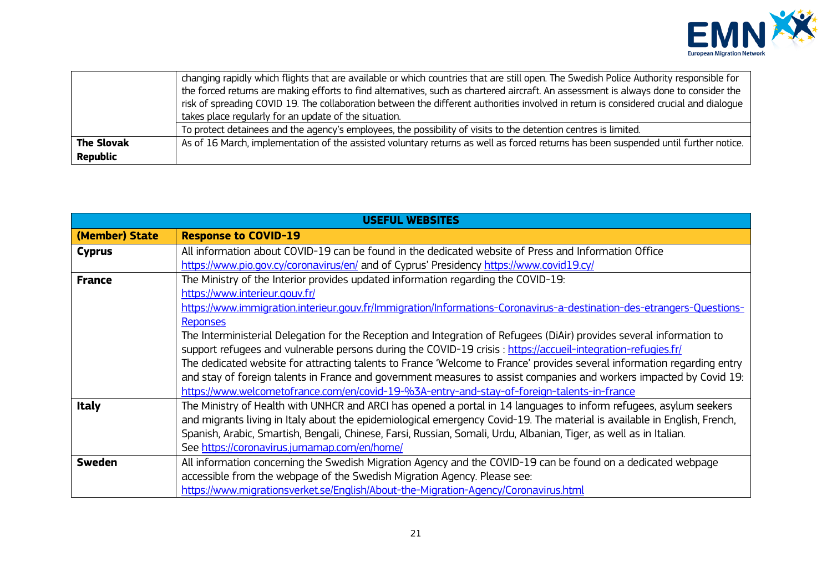

|                   | changing rapidly which flights that are available or which countries that are still open. The Swedish Police Authority responsible for |
|-------------------|----------------------------------------------------------------------------------------------------------------------------------------|
|                   | the forced returns are making efforts to find alternatives, such as chartered aircraft. An assessment is always done to consider the   |
|                   | risk of spreading COVID 19. The collaboration between the different authorities involved in return is considered crucial and dialoque  |
|                   | takes place regularly for an update of the situation.                                                                                  |
|                   | To protect detainees and the agency's employees, the possibility of visits to the detention centres is limited.                        |
| <b>The Slovak</b> | As of 16 March, implementation of the assisted voluntary returns as well as forced returns has been suspended until further notice.    |
| <b>Republic</b>   |                                                                                                                                        |

| USEFUL WEBSITES |                                                                                                                          |
|-----------------|--------------------------------------------------------------------------------------------------------------------------|
| (Member) State  | <b>Response to COVID-19</b>                                                                                              |
| <b>Cyprus</b>   | All information about COVID-19 can be found in the dedicated website of Press and Information Office                     |
|                 | https://www.pio.gov.cy/coronavirus/en/ and of Cyprus' Presidency https://www.covid19.cy/                                 |
| <b>France</b>   | The Ministry of the Interior provides updated information regarding the COVID-19:                                        |
|                 | https://www.interieur.gouv.fr/                                                                                           |
|                 | https://www.immigration.interieur.gouv.fr/Immigration/Informations-Coronavirus-a-destination-des-etrangers-Questions-    |
|                 | <b>Reponses</b>                                                                                                          |
|                 | The Interministerial Delegation for the Reception and Integration of Refugees (DiAir) provides several information to    |
|                 | support refugees and vulnerable persons during the COVID-19 crisis: https://accueil-integration-refugies.fr/             |
|                 | The dedicated website for attracting talents to France 'Welcome to France' provides several information regarding entry  |
|                 | and stay of foreign talents in France and government measures to assist companies and workers impacted by Covid 19:      |
|                 | https://www.welcometofrance.com/en/covid-19-%3A-entry-and-stay-of-foreign-talents-in-france                              |
| <b>Italy</b>    | The Ministry of Health with UNHCR and ARCI has opened a portal in 14 languages to inform refugees, asylum seekers        |
|                 | and migrants living in Italy about the epidemiological emergency Covid-19. The material is available in English, French, |
|                 | Spanish, Arabic, Smartish, Bengali, Chinese, Farsi, Russian, Somali, Urdu, Albanian, Tiger, as well as in Italian.       |
|                 | See https://coronavirus.jumamap.com/en/home/                                                                             |
| Sweden          | All information concerning the Swedish Migration Agency and the COVID-19 can be found on a dedicated webpage             |
|                 | accessible from the webpage of the Swedish Migration Agency. Please see:                                                 |
|                 | https://www.migrationsverket.se/English/About-the-Migration-Agency/Coronavirus.html                                      |